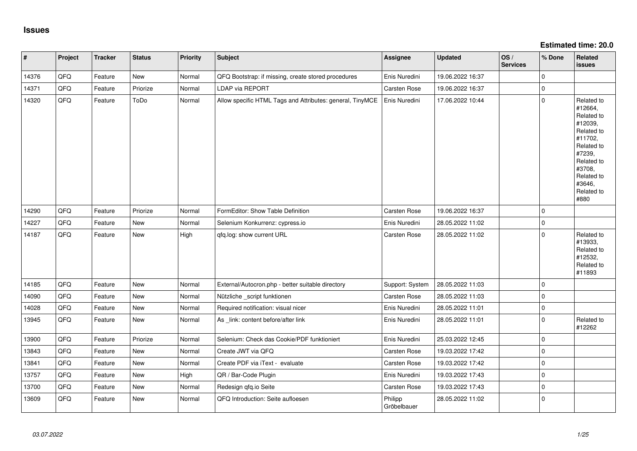**Estimated time: 20.0**

| #     | Project | <b>Tracker</b> | <b>Status</b> | Priority | <b>Subject</b>                                            | <b>Assignee</b>        | <b>Updated</b>   | OS/<br><b>Services</b> | % Done      | Related<br><b>issues</b>                                                                                                                                              |
|-------|---------|----------------|---------------|----------|-----------------------------------------------------------|------------------------|------------------|------------------------|-------------|-----------------------------------------------------------------------------------------------------------------------------------------------------------------------|
| 14376 | QFQ     | Feature        | New           | Normal   | QFQ Bootstrap: if missing, create stored procedures       | Enis Nuredini          | 19.06.2022 16:37 |                        | $\mathbf 0$ |                                                                                                                                                                       |
| 14371 | QFQ     | Feature        | Priorize      | Normal   | LDAP via REPORT                                           | Carsten Rose           | 19.06.2022 16:37 |                        | $\pmb{0}$   |                                                                                                                                                                       |
| 14320 | QFQ     | Feature        | ToDo          | Normal   | Allow specific HTML Tags and Attributes: general, TinyMCE | Enis Nuredini          | 17.06.2022 10:44 |                        | $\mathbf 0$ | Related to<br>#12664,<br>Related to<br>#12039,<br>Related to<br>#11702,<br>Related to<br>#7239,<br>Related to<br>#3708,<br>Related to<br>#3646,<br>Related to<br>#880 |
| 14290 | QFQ     | Feature        | Priorize      | Normal   | FormEditor: Show Table Definition                         | Carsten Rose           | 19.06.2022 16:37 |                        | $\Omega$    |                                                                                                                                                                       |
| 14227 | QFQ     | Feature        | New           | Normal   | Selenium Konkurrenz: cypress.io                           | Enis Nuredini          | 28.05.2022 11:02 |                        | $\mathbf 0$ |                                                                                                                                                                       |
| 14187 | QFQ     | Feature        | <b>New</b>    | High     | qfq.log: show current URL                                 | Carsten Rose           | 28.05.2022 11:02 |                        | $\mathbf 0$ | Related to<br>#13933,<br>Related to<br>#12532,<br>Related to<br>#11893                                                                                                |
| 14185 | QFQ     | Feature        | <b>New</b>    | Normal   | External/Autocron.php - better suitable directory         | Support: System        | 28.05.2022 11:03 |                        | $\mathbf 0$ |                                                                                                                                                                       |
| 14090 | QFQ     | Feature        | <b>New</b>    | Normal   | Nützliche _script funktionen                              | Carsten Rose           | 28.05.2022 11:03 |                        | $\Omega$    |                                                                                                                                                                       |
| 14028 | QFQ     | Feature        | <b>New</b>    | Normal   | Required notification: visual nicer                       | Enis Nuredini          | 28.05.2022 11:01 |                        | $\mathbf 0$ |                                                                                                                                                                       |
| 13945 | QFQ     | Feature        | New           | Normal   | As link: content before/after link                        | Enis Nuredini          | 28.05.2022 11:01 |                        | $\mathbf 0$ | Related to<br>#12262                                                                                                                                                  |
| 13900 | QFQ     | Feature        | Priorize      | Normal   | Selenium: Check das Cookie/PDF funktioniert               | Enis Nuredini          | 25.03.2022 12:45 |                        | $\mathbf 0$ |                                                                                                                                                                       |
| 13843 | QFQ     | Feature        | New           | Normal   | Create JWT via QFQ                                        | Carsten Rose           | 19.03.2022 17:42 |                        | $\mathbf 0$ |                                                                                                                                                                       |
| 13841 | QFQ     | Feature        | New           | Normal   | Create PDF via iText - evaluate                           | Carsten Rose           | 19.03.2022 17:42 |                        | $\mathbf 0$ |                                                                                                                                                                       |
| 13757 | QFQ     | Feature        | New           | High     | QR / Bar-Code Plugin                                      | Enis Nuredini          | 19.03.2022 17:43 |                        | $\mathbf 0$ |                                                                                                                                                                       |
| 13700 | QFQ     | Feature        | New           | Normal   | Redesign qfq.io Seite                                     | Carsten Rose           | 19.03.2022 17:43 |                        | $\pmb{0}$   |                                                                                                                                                                       |
| 13609 | QFQ     | Feature        | New           | Normal   | QFQ Introduction: Seite aufloesen                         | Philipp<br>Gröbelbauer | 28.05.2022 11:02 |                        | $\mathbf 0$ |                                                                                                                                                                       |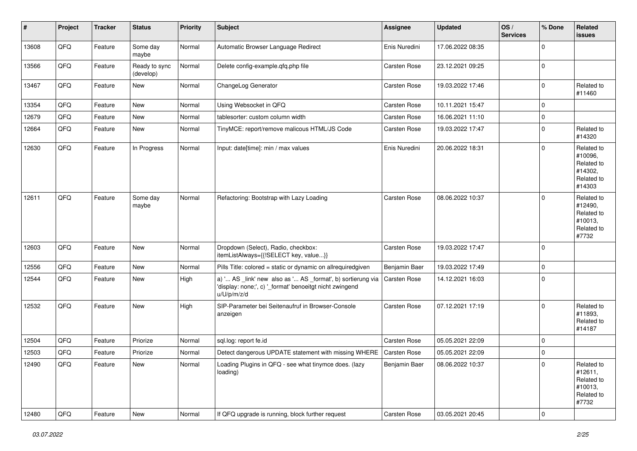| $\vert$ # | Project | <b>Tracker</b> | <b>Status</b>              | <b>Priority</b> | <b>Subject</b>                                                                                                                        | <b>Assignee</b>     | <b>Updated</b>   | OS/<br><b>Services</b> | % Done         | Related<br><b>issues</b>                                               |
|-----------|---------|----------------|----------------------------|-----------------|---------------------------------------------------------------------------------------------------------------------------------------|---------------------|------------------|------------------------|----------------|------------------------------------------------------------------------|
| 13608     | QFQ     | Feature        | Some day<br>maybe          | Normal          | Automatic Browser Language Redirect                                                                                                   | Enis Nuredini       | 17.06.2022 08:35 |                        | $\Omega$       |                                                                        |
| 13566     | QFQ     | Feature        | Ready to sync<br>(develop) | Normal          | Delete config-example.qfq.php file                                                                                                    | Carsten Rose        | 23.12.2021 09:25 |                        | $\mathbf 0$    |                                                                        |
| 13467     | QFQ     | Feature        | New                        | Normal          | ChangeLog Generator                                                                                                                   | Carsten Rose        | 19.03.2022 17:46 |                        | $\mathbf 0$    | Related to<br>#11460                                                   |
| 13354     | QFQ     | Feature        | New                        | Normal          | Using Websocket in QFQ                                                                                                                | Carsten Rose        | 10.11.2021 15:47 |                        | 0              |                                                                        |
| 12679     | QFQ     | Feature        | New                        | Normal          | tablesorter: custom column width                                                                                                      | Carsten Rose        | 16.06.2021 11:10 |                        | $\mathbf 0$    |                                                                        |
| 12664     | QFQ     | Feature        | New                        | Normal          | TinyMCE: report/remove malicous HTML/JS Code                                                                                          | Carsten Rose        | 19.03.2022 17:47 |                        | $\mathbf 0$    | Related to<br>#14320                                                   |
| 12630     | QFQ     | Feature        | In Progress                | Normal          | Input: date[time]: min / max values                                                                                                   | Enis Nuredini       | 20.06.2022 18:31 |                        | 0              | Related to<br>#10096,<br>Related to<br>#14302,<br>Related to<br>#14303 |
| 12611     | QFQ     | Feature        | Some day<br>maybe          | Normal          | Refactoring: Bootstrap with Lazy Loading                                                                                              | Carsten Rose        | 08.06.2022 10:37 |                        | $\mathbf 0$    | Related to<br>#12490,<br>Related to<br>#10013,<br>Related to<br>#7732  |
| 12603     | QFQ     | Feature        | New                        | Normal          | Dropdown (Select), Radio, checkbox:<br>itemListAlways={{!SELECT key, value}}                                                          | Carsten Rose        | 19.03.2022 17:47 |                        | $\mathbf 0$    |                                                                        |
| 12556     | QFQ     | Feature        | New                        | Normal          | Pills Title: colored = static or dynamic on allrequiredgiven                                                                          | Benjamin Baer       | 19.03.2022 17:49 |                        | $\mathbf 0$    |                                                                        |
| 12544     | QFQ     | Feature        | New                        | High            | a) ' AS _link' new also as ' AS _format', b) sortierung via<br>'display: none;', c) '_format' benoeitgt nicht zwingend<br>u/U/p/m/z/d | <b>Carsten Rose</b> | 14.12.2021 16:03 |                        | $\mathbf 0$    |                                                                        |
| 12532     | QFQ     | Feature        | New                        | High            | SIP-Parameter bei Seitenaufruf in Browser-Console<br>anzeigen                                                                         | Carsten Rose        | 07.12.2021 17:19 |                        | $\mathbf 0$    | Related to<br>#11893,<br>Related to<br>#14187                          |
| 12504     | QFQ     | Feature        | Priorize                   | Normal          | sql.log: report fe.id                                                                                                                 | Carsten Rose        | 05.05.2021 22:09 |                        | $\mathbf 0$    |                                                                        |
| 12503     | QFQ     | Feature        | Priorize                   | Normal          | Detect dangerous UPDATE statement with missing WHERE   Carsten Rose                                                                   |                     | 05.05.2021 22:09 |                        | 0              |                                                                        |
| 12490     | QFQ     | Feature        | New                        | Normal          | Loading Plugins in QFQ - see what tinymce does. (lazy<br>loading)                                                                     | Benjamin Baer       | 08.06.2022 10:37 |                        | 0              | Related to<br>#12611,<br>Related to<br>#10013,<br>Related to<br>#7732  |
| 12480     | QFQ     | Feature        | New                        | Normal          | If QFQ upgrade is running, block further request                                                                                      | Carsten Rose        | 03.05.2021 20:45 |                        | $\overline{0}$ |                                                                        |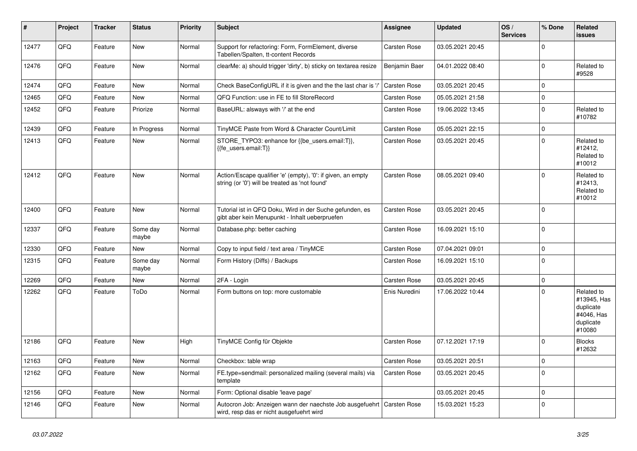| #     | Project | <b>Tracker</b> | <b>Status</b>     | <b>Priority</b> | <b>Subject</b>                                                                                                 | <b>Assignee</b>     | <b>Updated</b>   | OS/<br><b>Services</b> | % Done         | Related<br><b>issues</b>                                                    |
|-------|---------|----------------|-------------------|-----------------|----------------------------------------------------------------------------------------------------------------|---------------------|------------------|------------------------|----------------|-----------------------------------------------------------------------------|
| 12477 | QFQ     | Feature        | <b>New</b>        | Normal          | Support for refactoring: Form, FormElement, diverse<br>Tabellen/Spalten, tt-content Records                    | Carsten Rose        | 03.05.2021 20:45 |                        | 0              |                                                                             |
| 12476 | QFQ     | Feature        | <b>New</b>        | Normal          | clearMe: a) should trigger 'dirty', b) sticky on textarea resize                                               | Benjamin Baer       | 04.01.2022 08:40 |                        | $\Omega$       | Related to<br>#9528                                                         |
| 12474 | QFQ     | Feature        | New               | Normal          | Check BaseConfigURL if it is given and the the last char is '/                                                 | Carsten Rose        | 03.05.2021 20:45 |                        | $\Omega$       |                                                                             |
| 12465 | QFQ     | Feature        | New               | Normal          | QFQ Function: use in FE to fill StoreRecord                                                                    | Carsten Rose        | 05.05.2021 21:58 |                        | $\overline{0}$ |                                                                             |
| 12452 | QFQ     | Feature        | Priorize          | Normal          | BaseURL: alsways with '/' at the end                                                                           | Carsten Rose        | 19.06.2022 13:45 |                        | $\Omega$       | Related to<br>#10782                                                        |
| 12439 | QFQ     | Feature        | In Progress       | Normal          | TinyMCE Paste from Word & Character Count/Limit                                                                | <b>Carsten Rose</b> | 05.05.2021 22:15 |                        | $\mathbf 0$    |                                                                             |
| 12413 | QFQ     | Feature        | <b>New</b>        | Normal          | STORE_TYPO3: enhance for {{be_users.email:T}},<br>{{fe users.email:T}}                                         | Carsten Rose        | 03.05.2021 20:45 |                        | $\mathbf 0$    | Related to<br>#12412,<br>Related to<br>#10012                               |
| 12412 | QFQ     | Feature        | <b>New</b>        | Normal          | Action/Escape qualifier 'e' (empty), '0': if given, an empty<br>string (or '0') will be treated as 'not found' | Carsten Rose        | 08.05.2021 09:40 |                        | $\Omega$       | Related to<br>#12413,<br>Related to<br>#10012                               |
| 12400 | QFQ     | Feature        | New               | Normal          | Tutorial ist in QFQ Doku, Wird in der Suche gefunden, es<br>gibt aber kein Menupunkt - Inhalt ueberpruefen     | Carsten Rose        | 03.05.2021 20:45 |                        | $\Omega$       |                                                                             |
| 12337 | QFQ     | Feature        | Some day<br>maybe | Normal          | Database.php: better caching                                                                                   | Carsten Rose        | 16.09.2021 15:10 |                        | $\mathbf 0$    |                                                                             |
| 12330 | QFQ     | Feature        | New               | Normal          | Copy to input field / text area / TinyMCE                                                                      | Carsten Rose        | 07.04.2021 09:01 |                        | 0              |                                                                             |
| 12315 | QFQ     | Feature        | Some day<br>maybe | Normal          | Form History (Diffs) / Backups                                                                                 | Carsten Rose        | 16.09.2021 15:10 |                        | $\Omega$       |                                                                             |
| 12269 | QFQ     | Feature        | New               | Normal          | 2FA - Login                                                                                                    | Carsten Rose        | 03.05.2021 20:45 |                        | $\Omega$       |                                                                             |
| 12262 | QFQ     | Feature        | ToDo              | Normal          | Form buttons on top: more customable                                                                           | Enis Nuredini       | 17.06.2022 10:44 |                        | $\Omega$       | Related to<br>#13945, Has<br>duplicate<br>#4046, Has<br>duplicate<br>#10080 |
| 12186 | QFQ     | Feature        | <b>New</b>        | High            | TinyMCE Config für Objekte                                                                                     | Carsten Rose        | 07.12.2021 17:19 |                        | $\mathbf 0$    | <b>Blocks</b><br>#12632                                                     |
| 12163 | QFQ     | Feature        | <b>New</b>        | Normal          | Checkbox: table wrap                                                                                           | Carsten Rose        | 03.05.2021 20:51 |                        | 0              |                                                                             |
| 12162 | QFQ     | Feature        | New               | Normal          | FE.type=sendmail: personalized mailing (several mails) via<br>template                                         | Carsten Rose        | 03.05.2021 20:45 |                        | 0              |                                                                             |
| 12156 | QFQ     | Feature        | New               | Normal          | Form: Optional disable 'leave page'                                                                            |                     | 03.05.2021 20:45 |                        | 0              |                                                                             |
| 12146 | QFQ     | Feature        | New               | Normal          | Autocron Job: Anzeigen wann der naechste Job ausgefuehrt<br>wird, resp das er nicht ausgefuehrt wird           | <b>Carsten Rose</b> | 15.03.2021 15:23 |                        | 0              |                                                                             |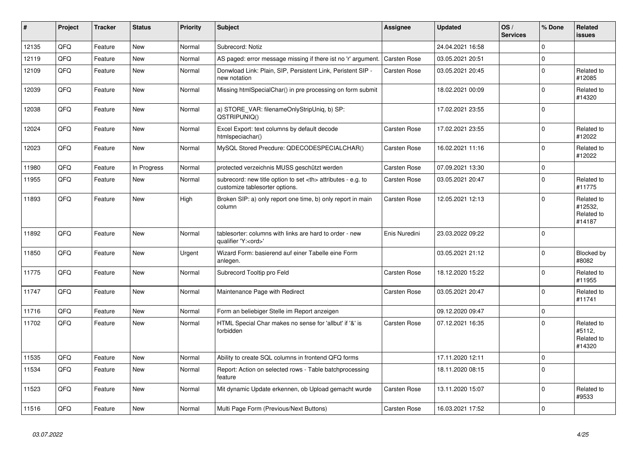| ∥ #   | <b>Project</b> | <b>Tracker</b> | <b>Status</b> | <b>Priority</b> | <b>Subject</b>                                                                                       | <b>Assignee</b>                                        | <b>Updated</b>   | OS/<br><b>Services</b> | % Done         | Related<br><b>issues</b>                      |                      |
|-------|----------------|----------------|---------------|-----------------|------------------------------------------------------------------------------------------------------|--------------------------------------------------------|------------------|------------------------|----------------|-----------------------------------------------|----------------------|
| 12135 | QFQ            | Feature        | New           | Normal          | Subrecord: Notiz                                                                                     |                                                        | 24.04.2021 16:58 |                        | 0              |                                               |                      |
| 12119 | QFQ            | Feature        | New           | Normal          | AS paged: error message missing if there ist no 'r' argument.                                        | Carsten Rose                                           | 03.05.2021 20:51 |                        | 0              |                                               |                      |
| 12109 | QFQ            | Feature        | New           | Normal          | Donwload Link: Plain, SIP, Persistent Link, Peristent SIP -<br>new notation                          | Carsten Rose                                           | 03.05.2021 20:45 |                        | 0              | Related to<br>#12085                          |                      |
| 12039 | QFQ            | Feature        | New           | Normal          | Missing htmlSpecialChar() in pre processing on form submit                                           |                                                        | 18.02.2021 00:09 |                        | $\Omega$       | Related to<br>#14320                          |                      |
| 12038 | QFQ            | Feature        | <b>New</b>    | Normal          | a) STORE_VAR: filenameOnlyStripUniq, b) SP:<br>QSTRIPUNIQ()                                          |                                                        | 17.02.2021 23:55 |                        | $\mathbf 0$    |                                               |                      |
| 12024 | QFQ            | Feature        | <b>New</b>    | Normal          | Excel Export: text columns by default decode<br>htmlspeciachar()                                     | Carsten Rose                                           | 17.02.2021 23:55 |                        | 0              | Related to<br>#12022                          |                      |
| 12023 | QFQ            | Feature        | New           | Normal          | MySQL Stored Precdure: QDECODESPECIALCHAR()                                                          | Carsten Rose                                           | 16.02.2021 11:16 |                        | 0              | Related to<br>#12022                          |                      |
| 11980 | QFQ            | Feature        | In Progress   | Normal          | protected verzeichnis MUSS geschützt werden                                                          | Carsten Rose                                           | 07.09.2021 13:30 |                        | 0              |                                               |                      |
| 11955 | QFQ            | Feature        | <b>New</b>    | Normal          | subrecord: new title option to set <th> attributes - e.g. to<br/>customize tablesorter options.</th> | attributes - e.g. to<br>customize tablesorter options. | Carsten Rose     | 03.05.2021 20:47       |                | $\Omega$                                      | Related to<br>#11775 |
| 11893 | QFQ            | Feature        | <b>New</b>    | High            | Broken SIP: a) only report one time, b) only report in main<br>column                                | Carsten Rose                                           | 12.05.2021 12:13 |                        | $\Omega$       | Related to<br>#12532.<br>Related to<br>#14187 |                      |
| 11892 | QFQ            | Feature        | New           | Normal          | tablesorter: columns with links are hard to order - new<br>qualifier 'Y: <ord>'</ord>                | Enis Nuredini                                          | 23.03.2022 09:22 |                        | $\overline{0}$ |                                               |                      |
| 11850 | QFQ            | Feature        | <b>New</b>    | Urgent          | Wizard Form: basierend auf einer Tabelle eine Form<br>anlegen.                                       |                                                        | 03.05.2021 21:12 |                        | 0              | Blocked by<br>#8082                           |                      |
| 11775 | QFQ            | Feature        | <b>New</b>    | Normal          | Subrecord Tooltip pro Feld                                                                           | Carsten Rose                                           | 18.12.2020 15:22 |                        | $\mathbf 0$    | Related to<br>#11955                          |                      |
| 11747 | QFQ            | Feature        | New           | Normal          | Maintenance Page with Redirect                                                                       | Carsten Rose                                           | 03.05.2021 20:47 |                        | 0              | Related to<br>#11741                          |                      |
| 11716 | QFQ            | Feature        | New           | Normal          | Form an beliebiger Stelle im Report anzeigen                                                         |                                                        | 09.12.2020 09:47 |                        | 0              |                                               |                      |
| 11702 | QFQ            | Feature        | New           | Normal          | HTML Special Char makes no sense for 'allbut' if '&' is<br>forbidden                                 | Carsten Rose                                           | 07.12.2021 16:35 |                        | 0              | Related to<br>#5112,<br>Related to<br>#14320  |                      |
| 11535 | QFQ            | Feature        | New           | Normal          | Ability to create SQL columns in frontend QFQ forms                                                  |                                                        | 17.11.2020 12:11 |                        | 0              |                                               |                      |
| 11534 | QFQ            | Feature        | New           | Normal          | Report: Action on selected rows - Table batchprocessing<br>feature                                   |                                                        | 18.11.2020 08:15 |                        | 0              |                                               |                      |
| 11523 | QFQ            | Feature        | New           | Normal          | Mit dynamic Update erkennen, ob Upload gemacht wurde                                                 | Carsten Rose                                           | 13.11.2020 15:07 |                        | $\Omega$       | Related to<br>#9533                           |                      |
| 11516 | QFQ            | Feature        | <b>New</b>    | Normal          | Multi Page Form (Previous/Next Buttons)                                                              | Carsten Rose                                           | 16.03.2021 17:52 |                        | $\Omega$       |                                               |                      |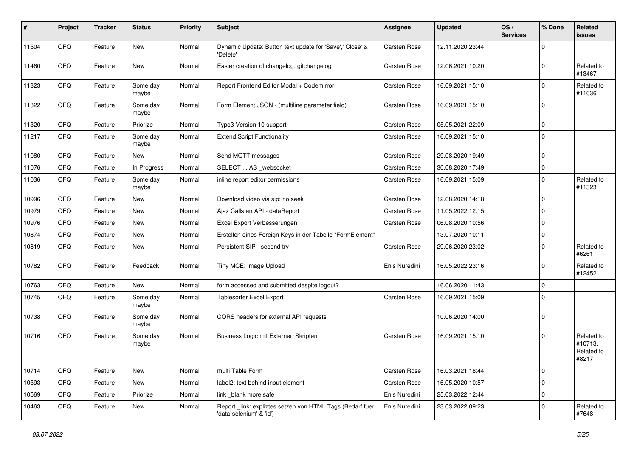| #     | Project | <b>Tracker</b> | <b>Status</b>     | <b>Priority</b> | Subject                                                                             | Assignee            | <b>Updated</b>   | OS/<br><b>Services</b> | % Done      | Related<br>issues                            |
|-------|---------|----------------|-------------------|-----------------|-------------------------------------------------------------------------------------|---------------------|------------------|------------------------|-------------|----------------------------------------------|
| 11504 | QFQ     | Feature        | New               | Normal          | Dynamic Update: Button text update for 'Save',' Close' &<br>'Delete'                | Carsten Rose        | 12.11.2020 23:44 |                        | $\mathbf 0$ |                                              |
| 11460 | QFQ     | Feature        | New               | Normal          | Easier creation of changelog: gitchangelog                                          | <b>Carsten Rose</b> | 12.06.2021 10:20 |                        | $\mathbf 0$ | Related to<br>#13467                         |
| 11323 | QFQ     | Feature        | Some day<br>maybe | Normal          | Report Frontend Editor Modal + Codemirror                                           | <b>Carsten Rose</b> | 16.09.2021 15:10 |                        | $\mathbf 0$ | Related to<br>#11036                         |
| 11322 | QFQ     | Feature        | Some day<br>maybe | Normal          | Form Element JSON - (multiline parameter field)                                     | <b>Carsten Rose</b> | 16.09.2021 15:10 |                        | 0           |                                              |
| 11320 | QFQ     | Feature        | Priorize          | Normal          | Typo3 Version 10 support                                                            | <b>Carsten Rose</b> | 05.05.2021 22:09 |                        | $\mathbf 0$ |                                              |
| 11217 | QFQ     | Feature        | Some day<br>maybe | Normal          | <b>Extend Script Functionality</b>                                                  | Carsten Rose        | 16.09.2021 15:10 |                        | 0           |                                              |
| 11080 | QFQ     | Feature        | New               | Normal          | Send MQTT messages                                                                  | Carsten Rose        | 29.08.2020 19:49 |                        | 0           |                                              |
| 11076 | QFQ     | Feature        | In Progress       | Normal          | SELECT  AS _websocket                                                               | <b>Carsten Rose</b> | 30.08.2020 17:49 |                        | 0           |                                              |
| 11036 | QFQ     | Feature        | Some day<br>maybe | Normal          | inline report editor permissions                                                    | Carsten Rose        | 16.09.2021 15:09 |                        | $\mathbf 0$ | Related to<br>#11323                         |
| 10996 | QFQ     | Feature        | New               | Normal          | Download video via sip: no seek                                                     | <b>Carsten Rose</b> | 12.08.2020 14:18 |                        | $\mathbf 0$ |                                              |
| 10979 | QFQ     | Feature        | New               | Normal          | Ajax Calls an API - dataReport                                                      | <b>Carsten Rose</b> | 11.05.2022 12:15 |                        | $\mathbf 0$ |                                              |
| 10976 | QFQ     | Feature        | New               | Normal          | Excel Export Verbesserungen                                                         | Carsten Rose        | 06.08.2020 10:56 |                        | 0           |                                              |
| 10874 | QFQ     | Feature        | New               | Normal          | Erstellen eines Foreign Keys in der Tabelle "FormElement"                           |                     | 13.07.2020 10:11 |                        | $\mathbf 0$ |                                              |
| 10819 | QFQ     | Feature        | New               | Normal          | Persistent SIP - second try                                                         | <b>Carsten Rose</b> | 29.06.2020 23:02 |                        | $\Omega$    | Related to<br>#6261                          |
| 10782 | QFQ     | Feature        | Feedback          | Normal          | Tiny MCE: Image Upload                                                              | Enis Nuredini       | 16.05.2022 23:16 |                        | $\mathbf 0$ | Related to<br>#12452                         |
| 10763 | QFQ     | Feature        | New               | Normal          | form accessed and submitted despite logout?                                         |                     | 16.06.2020 11:43 |                        | $\mathbf 0$ |                                              |
| 10745 | QFQ     | Feature        | Some day<br>maybe | Normal          | <b>Tablesorter Excel Export</b>                                                     | <b>Carsten Rose</b> | 16.09.2021 15:09 |                        | $\Omega$    |                                              |
| 10738 | QFQ     | Feature        | Some day<br>maybe | Normal          | CORS headers for external API requests                                              |                     | 10.06.2020 14:00 |                        | 0           |                                              |
| 10716 | QFQ     | Feature        | Some day<br>maybe | Normal          | Business Logic mit Externen Skripten                                                | <b>Carsten Rose</b> | 16.09.2021 15:10 |                        | $\mathbf 0$ | Related to<br>#10713,<br>Related to<br>#8217 |
| 10714 | QFQ     | Feature        | New               | Normal          | multi Table Form                                                                    | Carsten Rose        | 16.03.2021 18:44 |                        | 0           |                                              |
| 10593 | QFQ     | Feature        | New               | Normal          | label2: text behind input element                                                   | Carsten Rose        | 16.05.2020 10:57 |                        | 0           |                                              |
| 10569 | QFQ     | Feature        | Priorize          | Normal          | link _blank more safe                                                               | Enis Nuredini       | 25.03.2022 12:44 |                        | 0           |                                              |
| 10463 | QFQ     | Feature        | New               | Normal          | Report link: expliztes setzen von HTML Tags (Bedarf fuer<br>'data-selenium' & 'id') | Enis Nuredini       | 23.03.2022 09:23 |                        | 0           | Related to<br>#7648                          |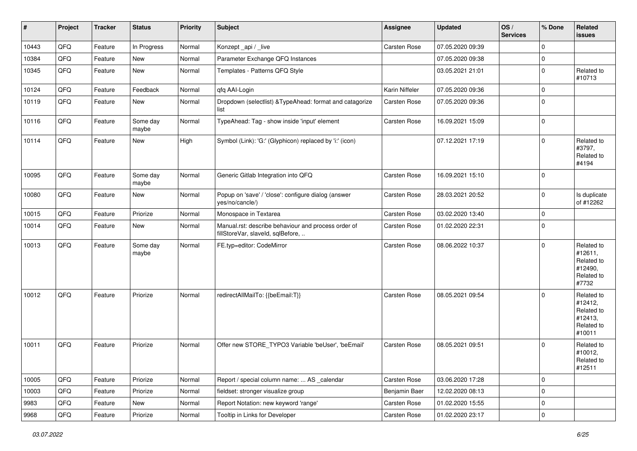| $\vert$ # | Project        | <b>Tracker</b> | <b>Status</b>     | <b>Priority</b> | <b>Subject</b>                                                                           | <b>Assignee</b> | <b>Updated</b>   | OS/<br><b>Services</b> | % Done         | Related<br>issues                                                      |
|-----------|----------------|----------------|-------------------|-----------------|------------------------------------------------------------------------------------------|-----------------|------------------|------------------------|----------------|------------------------------------------------------------------------|
| 10443     | QFQ            | Feature        | In Progress       | Normal          | Konzept_api / _live                                                                      | Carsten Rose    | 07.05.2020 09:39 |                        | $\mathbf 0$    |                                                                        |
| 10384     | QFQ            | Feature        | New               | Normal          | Parameter Exchange QFQ Instances                                                         |                 | 07.05.2020 09:38 |                        | $\mathbf 0$    |                                                                        |
| 10345     | QFQ            | Feature        | New               | Normal          | Templates - Patterns QFQ Style                                                           |                 | 03.05.2021 21:01 |                        | $\mathbf 0$    | Related to<br>#10713                                                   |
| 10124     | QFQ            | Feature        | Feedback          | Normal          | qfq AAI-Login                                                                            | Karin Niffeler  | 07.05.2020 09:36 |                        | $\pmb{0}$      |                                                                        |
| 10119     | QFQ            | Feature        | New               | Normal          | Dropdown (selectlist) & TypeAhead: format and catagorize<br>list                         | Carsten Rose    | 07.05.2020 09:36 |                        | $\mathbf 0$    |                                                                        |
| 10116     | QFQ            | Feature        | Some day<br>maybe | Normal          | TypeAhead: Tag - show inside 'input' element                                             | Carsten Rose    | 16.09.2021 15:09 |                        | $\mathbf 0$    |                                                                        |
| 10114     | QFQ            | Feature        | New               | High            | Symbol (Link): 'G:' (Glyphicon) replaced by 'i:' (icon)                                  |                 | 07.12.2021 17:19 |                        | $\mathbf 0$    | Related to<br>#3797,<br>Related to<br>#4194                            |
| 10095     | QFQ            | Feature        | Some day<br>maybe | Normal          | Generic Gitlab Integration into QFQ                                                      | Carsten Rose    | 16.09.2021 15:10 |                        | $\mathbf 0$    |                                                                        |
| 10080     | QFQ            | Feature        | New               | Normal          | Popup on 'save' / 'close': configure dialog (answer<br>yes/no/cancle/)                   | Carsten Rose    | 28.03.2021 20:52 |                        | $\mathbf 0$    | Is duplicate<br>of #12262                                              |
| 10015     | QFQ            | Feature        | Priorize          | Normal          | Monospace in Textarea                                                                    | Carsten Rose    | 03.02.2020 13:40 |                        | $\mathbf 0$    |                                                                        |
| 10014     | QFQ            | Feature        | New               | Normal          | Manual.rst: describe behaviour and process order of<br>fillStoreVar, slaveId, sqlBefore, | Carsten Rose    | 01.02.2020 22:31 |                        | $\mathbf 0$    |                                                                        |
| 10013     | QFQ            | Feature        | Some day<br>maybe | Normal          | FE.typ=editor: CodeMirror                                                                | Carsten Rose    | 08.06.2022 10:37 |                        | $\mathbf 0$    | Related to<br>#12611,<br>Related to<br>#12490,<br>Related to<br>#7732  |
| 10012     | QFQ            | Feature        | Priorize          | Normal          | redirectAllMailTo: {{beEmail:T}}                                                         | Carsten Rose    | 08.05.2021 09:54 |                        | $\mathbf 0$    | Related to<br>#12412,<br>Related to<br>#12413,<br>Related to<br>#10011 |
| 10011     | QFQ            | Feature        | Priorize          | Normal          | Offer new STORE_TYPO3 Variable 'beUser', 'beEmail'                                       | Carsten Rose    | 08.05.2021 09:51 |                        | $\mathbf 0$    | Related to<br>#10012,<br>Related to<br>#12511                          |
| 10005     | QFG            | Feature        | Priorize          | Normal          | Report / special column name:  AS _calendar                                              | Carsten Rose    | 03.06.2020 17:28 |                        | $\mathsf 0$    |                                                                        |
| 10003     | QFQ            | Feature        | Priorize          | Normal          | fieldset: stronger visualize group                                                       | Benjamin Baer   | 12.02.2020 08:13 |                        | $\mathsf 0$    |                                                                        |
| 9983      | QFQ            | Feature        | New               | Normal          | Report Notation: new keyword 'range'                                                     | Carsten Rose    | 01.02.2020 15:55 |                        | $\pmb{0}$      |                                                                        |
| 9968      | $\mathsf{QFQ}$ | Feature        | Priorize          | Normal          | Tooltip in Links for Developer                                                           | Carsten Rose    | 01.02.2020 23:17 |                        | $\overline{0}$ |                                                                        |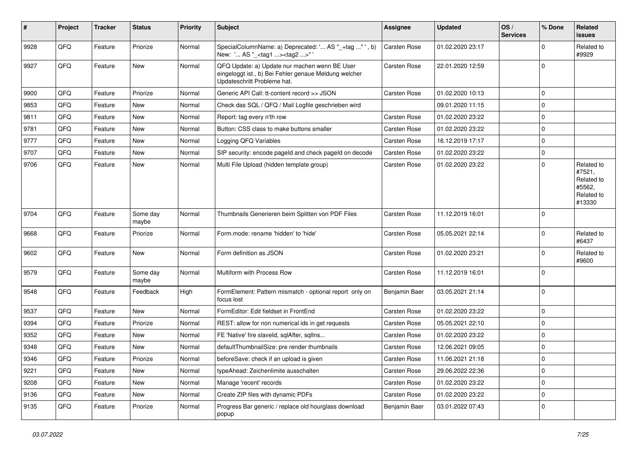| #    | Project | <b>Tracker</b> | <b>Status</b>     | <b>Priority</b> | <b>Subject</b>                                                                                                                        | Assignee            | <b>Updated</b>   | OS/<br><b>Services</b> | % Done      | Related<br>issues                                                    |
|------|---------|----------------|-------------------|-----------------|---------------------------------------------------------------------------------------------------------------------------------------|---------------------|------------------|------------------------|-------------|----------------------------------------------------------------------|
| 9928 | QFQ     | Feature        | Priorize          | Normal          | SpecialColumnName: a) Deprecated: ' AS "_+tag " ', b)<br>New: ' AS "_ <tag1><tag2>"'</tag2></tag1>                                    | <b>Carsten Rose</b> | 01.02.2020 23:17 |                        | $\Omega$    | Related to<br>#9929                                                  |
| 9927 | QFQ     | Feature        | New               | Normal          | QFQ Update: a) Update nur machen wenn BE User<br>eingeloggt ist., b) Bei Fehler genaue Meldung welcher<br>Updateschritt Probleme hat. | <b>Carsten Rose</b> | 22.01.2020 12:59 |                        | $\Omega$    |                                                                      |
| 9900 | QFQ     | Feature        | Priorize          | Normal          | Generic API Call: tt-content record >> JSON                                                                                           | <b>Carsten Rose</b> | 01.02.2020 10:13 |                        | $\Omega$    |                                                                      |
| 9853 | QFQ     | Feature        | New               | Normal          | Check das SQL / QFQ / Mail Logfile geschrieben wird                                                                                   |                     | 09.01.2020 11:15 |                        | $\Omega$    |                                                                      |
| 9811 | QFQ     | Feature        | New               | Normal          | Report: tag every n'th row                                                                                                            | Carsten Rose        | 01.02.2020 23:22 |                        | $\Omega$    |                                                                      |
| 9781 | QFQ     | Feature        | New               | Normal          | Button: CSS class to make buttons smaller                                                                                             | <b>Carsten Rose</b> | 01.02.2020 23:22 |                        | $\Omega$    |                                                                      |
| 9777 | QFQ     | Feature        | New               | Normal          | Logging QFQ Variables                                                                                                                 | <b>Carsten Rose</b> | 16.12.2019 17:17 |                        | $\mathbf 0$ |                                                                      |
| 9707 | QFQ     | Feature        | New               | Normal          | SIP security: encode pageld and check pageld on decode                                                                                | <b>Carsten Rose</b> | 01.02.2020 23:22 |                        | $\Omega$    |                                                                      |
| 9706 | QFQ     | Feature        | New               | Normal          | Multi File Upload (hidden template group)                                                                                             | <b>Carsten Rose</b> | 01.02.2020 23:22 |                        | $\Omega$    | Related to<br>#7521,<br>Related to<br>#5562,<br>Related to<br>#13330 |
| 9704 | QFQ     | Feature        | Some day<br>maybe | Normal          | Thumbnails Generieren beim Splitten von PDF Files                                                                                     | <b>Carsten Rose</b> | 11.12.2019 16:01 |                        | $\Omega$    |                                                                      |
| 9668 | QFQ     | Feature        | Priorize          | Normal          | Form.mode: rename 'hidden' to 'hide'                                                                                                  | <b>Carsten Rose</b> | 05.05.2021 22:14 |                        | $\Omega$    | Related to<br>#6437                                                  |
| 9602 | QFQ     | Feature        | New               | Normal          | Form definition as JSON                                                                                                               | <b>Carsten Rose</b> | 01.02.2020 23:21 |                        | $\Omega$    | Related to<br>#9600                                                  |
| 9579 | QFQ     | Feature        | Some day<br>maybe | Normal          | Multiform with Process Row                                                                                                            | <b>Carsten Rose</b> | 11.12.2019 16:01 |                        | $\Omega$    |                                                                      |
| 9548 | QFQ     | Feature        | Feedback          | High            | FormElement: Pattern mismatch - optional report only on<br>focus lost                                                                 | Benjamin Baer       | 03.05.2021 21:14 |                        | $\Omega$    |                                                                      |
| 9537 | QFQ     | Feature        | New               | Normal          | FormEditor: Edit fieldset in FrontEnd                                                                                                 | <b>Carsten Rose</b> | 01.02.2020 23:22 |                        | $\Omega$    |                                                                      |
| 9394 | QFQ     | Feature        | Priorize          | Normal          | REST: allow for non numerical ids in get requests                                                                                     | <b>Carsten Rose</b> | 05.05.2021 22:10 |                        | $\Omega$    |                                                                      |
| 9352 | QFQ     | Feature        | New               | Normal          | FE 'Native' fire slaveld, sqlAfter, sqlIns                                                                                            | Carsten Rose        | 01.02.2020 23:22 |                        | $\Omega$    |                                                                      |
| 9348 | QFQ     | Feature        | New               | Normal          | defaultThumbnailSize: pre render thumbnails                                                                                           | <b>Carsten Rose</b> | 12.06.2021 09:05 |                        | $\Omega$    |                                                                      |
| 9346 | QFQ     | Feature        | Priorize          | Normal          | beforeSave: check if an upload is given                                                                                               | <b>Carsten Rose</b> | 11.06.2021 21:18 |                        | $\mathbf 0$ |                                                                      |
| 9221 | QFQ     | Feature        | New               | Normal          | typeAhead: Zeichenlimite ausschalten                                                                                                  | Carsten Rose        | 29.06.2022 22:36 |                        | 0           |                                                                      |
| 9208 | QFQ     | Feature        | New               | Normal          | Manage 'recent' records                                                                                                               | Carsten Rose        | 01.02.2020 23:22 |                        | $\mathbf 0$ |                                                                      |
| 9136 | QFQ     | Feature        | New               | Normal          | Create ZIP files with dynamic PDFs                                                                                                    | Carsten Rose        | 01.02.2020 23:22 |                        | $\mathbf 0$ |                                                                      |
| 9135 | QFQ     | Feature        | Priorize          | Normal          | Progress Bar generic / replace old hourglass download<br>popup                                                                        | Benjamin Baer       | 03.01.2022 07:43 |                        | $\mathbf 0$ |                                                                      |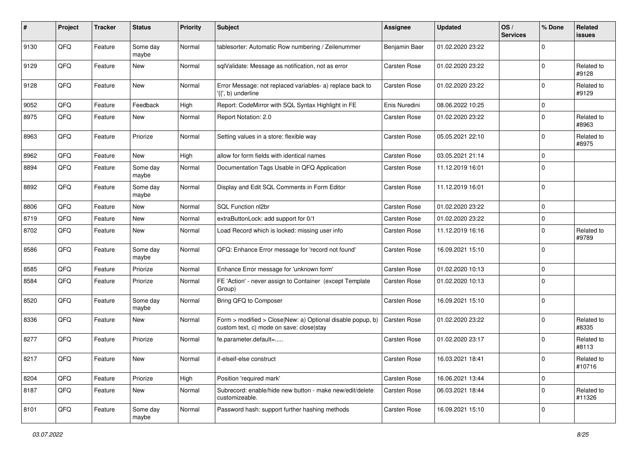| #    | Project | <b>Tracker</b> | <b>Status</b>     | <b>Priority</b> | <b>Subject</b>                                                                                         | <b>Assignee</b>     | <b>Updated</b>   | OS/<br><b>Services</b> | % Done         | Related<br>issues    |
|------|---------|----------------|-------------------|-----------------|--------------------------------------------------------------------------------------------------------|---------------------|------------------|------------------------|----------------|----------------------|
| 9130 | QFQ     | Feature        | Some day<br>maybe | Normal          | tablesorter: Automatic Row numbering / Zeilenummer                                                     | Benjamin Baer       | 01.02.2020 23:22 |                        | $\Omega$       |                      |
| 9129 | QFQ     | Feature        | New               | Normal          | sqlValidate: Message as notification, not as error                                                     | <b>Carsten Rose</b> | 01.02.2020 23:22 |                        | $\mathbf 0$    | Related to<br>#9128  |
| 9128 | QFQ     | Feature        | New               | Normal          | Error Message: not replaced variables- a) replace back to<br>$\langle \{ \}$ , b) underline            | Carsten Rose        | 01.02.2020 23:22 |                        | $\mathbf 0$    | Related to<br>#9129  |
| 9052 | QFQ     | Feature        | Feedback          | High            | Report: CodeMirror with SQL Syntax Highlight in FE                                                     | Enis Nuredini       | 08.06.2022 10:25 |                        | $\mathbf 0$    |                      |
| 8975 | QFQ     | Feature        | New               | Normal          | Report Notation: 2.0                                                                                   | <b>Carsten Rose</b> | 01.02.2020 23:22 |                        | $\mathbf 0$    | Related to<br>#8963  |
| 8963 | QFQ     | Feature        | Priorize          | Normal          | Setting values in a store: flexible way                                                                | <b>Carsten Rose</b> | 05.05.2021 22:10 |                        | $\mathbf 0$    | Related to<br>#8975  |
| 8962 | QFQ     | Feature        | New               | High            | allow for form fields with identical names                                                             | <b>Carsten Rose</b> | 03.05.2021 21:14 |                        | $\mathbf 0$    |                      |
| 8894 | QFQ     | Feature        | Some day<br>maybe | Normal          | Documentation Tags Usable in QFQ Application                                                           | Carsten Rose        | 11.12.2019 16:01 |                        | $\mathbf 0$    |                      |
| 8892 | QFQ     | Feature        | Some day<br>maybe | Normal          | Display and Edit SQL Comments in Form Editor                                                           | <b>Carsten Rose</b> | 11.12.2019 16:01 |                        | $\Omega$       |                      |
| 8806 | QFQ     | Feature        | New               | Normal          | SQL Function nl2br                                                                                     | <b>Carsten Rose</b> | 01.02.2020 23:22 |                        | $\Omega$       |                      |
| 8719 | QFQ     | Feature        | New               | Normal          | extraButtonLock: add support for 0/1                                                                   | <b>Carsten Rose</b> | 01.02.2020 23:22 |                        | $\mathbf 0$    |                      |
| 8702 | QFQ     | Feature        | New               | Normal          | Load Record which is locked: missing user info                                                         | <b>Carsten Rose</b> | 11.12.2019 16:16 |                        | $\mathbf 0$    | Related to<br>#9789  |
| 8586 | QFQ     | Feature        | Some day<br>maybe | Normal          | QFQ: Enhance Error message for 'record not found'                                                      | Carsten Rose        | 16.09.2021 15:10 |                        | $\mathbf 0$    |                      |
| 8585 | QFQ     | Feature        | Priorize          | Normal          | Enhance Error message for 'unknown form'                                                               | <b>Carsten Rose</b> | 01.02.2020 10:13 |                        | $\mathbf 0$    |                      |
| 8584 | QFQ     | Feature        | Priorize          | Normal          | FE 'Action' - never assign to Container (except Template<br>Group)                                     | Carsten Rose        | 01.02.2020 10:13 |                        | $\mathbf 0$    |                      |
| 8520 | QFQ     | Feature        | Some day<br>maybe | Normal          | Bring QFQ to Composer                                                                                  | Carsten Rose        | 16.09.2021 15:10 |                        | $\mathbf 0$    |                      |
| 8336 | QFQ     | Feature        | New               | Normal          | Form > modified > Close New: a) Optional disable popup, b)<br>custom text, c) mode on save: close stay | Carsten Rose        | 01.02.2020 23:22 |                        | $\mathbf 0$    | Related to<br>#8335  |
| 8277 | QFQ     | Feature        | Priorize          | Normal          | fe.parameter.default=                                                                                  | Carsten Rose        | 01.02.2020 23:17 |                        | $\Omega$       | Related to<br>#8113  |
| 8217 | QFQ     | Feature        | New               | Normal          | if-elseif-else construct                                                                               | Carsten Rose        | 16.03.2021 18:41 |                        | $\overline{0}$ | Related to<br>#10716 |
| 8204 | QFQ     | Feature        | Priorize          | High            | Position 'required mark'                                                                               | Carsten Rose        | 16.06.2021 13:44 |                        | $\mathbf 0$    |                      |
| 8187 | QFQ     | Feature        | New               | Normal          | Subrecord: enable/hide new button - make new/edit/delete<br>customizeable.                             | Carsten Rose        | 06.03.2021 18:44 |                        | $\mathbf 0$    | Related to<br>#11326 |
| 8101 | QFG     | Feature        | Some day<br>maybe | Normal          | Password hash: support further hashing methods                                                         | Carsten Rose        | 16.09.2021 15:10 |                        | $\mathbf 0$    |                      |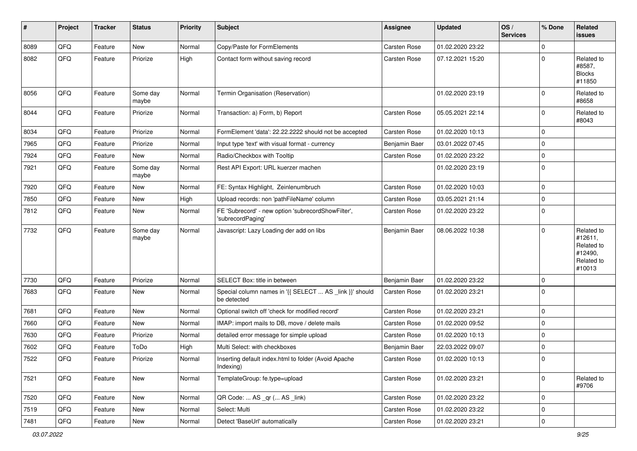| #    | Project | <b>Tracker</b> | <b>Status</b>     | <b>Priority</b> | <b>Subject</b>                                                          | Assignee            | <b>Updated</b>   | OS/<br><b>Services</b> | % Done      | Related<br>issues                                                      |
|------|---------|----------------|-------------------|-----------------|-------------------------------------------------------------------------|---------------------|------------------|------------------------|-------------|------------------------------------------------------------------------|
| 8089 | QFQ     | Feature        | New               | Normal          | Copy/Paste for FormElements                                             | <b>Carsten Rose</b> | 01.02.2020 23:22 |                        | $\mathbf 0$ |                                                                        |
| 8082 | QFQ     | Feature        | Priorize          | High            | Contact form without saving record                                      | Carsten Rose        | 07.12.2021 15:20 |                        | $\Omega$    | Related to<br>#8587,<br><b>Blocks</b><br>#11850                        |
| 8056 | QFQ     | Feature        | Some day<br>maybe | Normal          | Termin Organisation (Reservation)                                       |                     | 01.02.2020 23:19 |                        | $\Omega$    | Related to<br>#8658                                                    |
| 8044 | QFQ     | Feature        | Priorize          | Normal          | Transaction: a) Form, b) Report                                         | Carsten Rose        | 05.05.2021 22:14 |                        | $\Omega$    | Related to<br>#8043                                                    |
| 8034 | QFQ     | Feature        | Priorize          | Normal          | FormElement 'data': 22.22.2222 should not be accepted                   | <b>Carsten Rose</b> | 01.02.2020 10:13 |                        | 0           |                                                                        |
| 7965 | QFQ     | Feature        | Priorize          | Normal          | Input type 'text' with visual format - currency                         | Benjamin Baer       | 03.01.2022 07:45 |                        | $\Omega$    |                                                                        |
| 7924 | QFQ     | Feature        | New               | Normal          | Radio/Checkbox with Tooltip                                             | <b>Carsten Rose</b> | 01.02.2020 23:22 |                        | $\Omega$    |                                                                        |
| 7921 | QFQ     | Feature        | Some day<br>maybe | Normal          | Rest API Export: URL kuerzer machen                                     |                     | 01.02.2020 23:19 |                        | $\Omega$    |                                                                        |
| 7920 | QFQ     | Feature        | New               | Normal          | FE: Syntax Highlight, Zeinlenumbruch                                    | <b>Carsten Rose</b> | 01.02.2020 10:03 |                        | $\mathbf 0$ |                                                                        |
| 7850 | QFQ     | Feature        | New               | High            | Upload records: non 'pathFileName' column                               | Carsten Rose        | 03.05.2021 21:14 |                        | $\Omega$    |                                                                        |
| 7812 | QFQ     | Feature        | New               | Normal          | FE 'Subrecord' - new option 'subrecordShowFilter',<br>'subrecordPaging' | <b>Carsten Rose</b> | 01.02.2020 23:22 |                        | $\Omega$    |                                                                        |
| 7732 | QFQ     | Feature        | Some day<br>maybe | Normal          | Javascript: Lazy Loading der add on libs                                | Benjamin Baer       | 08.06.2022 10:38 |                        | $\Omega$    | Related to<br>#12611.<br>Related to<br>#12490,<br>Related to<br>#10013 |
| 7730 | QFQ     | Feature        | Priorize          | Normal          | SELECT Box: title in between                                            | Benjamin Baer       | 01.02.2020 23:22 |                        | $\Omega$    |                                                                        |
| 7683 | QFQ     | Feature        | New               | Normal          | Special column names in '{{ SELECT  AS _link }}' should<br>be detected  | <b>Carsten Rose</b> | 01.02.2020 23:21 |                        | $\Omega$    |                                                                        |
| 7681 | QFQ     | Feature        | New               | Normal          | Optional switch off 'check for modified record'                         | <b>Carsten Rose</b> | 01.02.2020 23:21 |                        | 0           |                                                                        |
| 7660 | QFQ     | Feature        | New               | Normal          | IMAP: import mails to DB, move / delete mails                           | <b>Carsten Rose</b> | 01.02.2020 09:52 |                        | $\mathbf 0$ |                                                                        |
| 7630 | QFQ     | Feature        | Priorize          | Normal          | detailed error message for simple upload                                | <b>Carsten Rose</b> | 01.02.2020 10:13 |                        | $\Omega$    |                                                                        |
| 7602 | QFQ     | Feature        | ToDo              | High            | Multi Select: with checkboxes                                           | Benjamin Baer       | 22.03.2022 09:07 |                        | $\Omega$    |                                                                        |
| 7522 | QFQ     | Feature        | Priorize          | Normal          | Inserting default index.html to folder (Avoid Apache<br>Indexing)       | Carsten Rose        | 01.02.2020 10:13 |                        | $\mathbf 0$ |                                                                        |
| 7521 | QFQ     | Feature        | New               | Normal          | TemplateGroup: fe.type=upload                                           | Carsten Rose        | 01.02.2020 23:21 |                        | $\Omega$    | Related to<br>#9706                                                    |
| 7520 | QFQ     | Feature        | New               | Normal          | QR Code:  AS _qr ( AS _link)                                            | Carsten Rose        | 01.02.2020 23:22 |                        | 0           |                                                                        |
| 7519 | QFQ     | Feature        | New               | Normal          | Select: Multi                                                           | <b>Carsten Rose</b> | 01.02.2020 23:22 |                        | 0           |                                                                        |
| 7481 | QFQ     | Feature        | New               | Normal          | Detect 'BaseUrl' automatically                                          | Carsten Rose        | 01.02.2020 23:21 |                        | $\mathbf 0$ |                                                                        |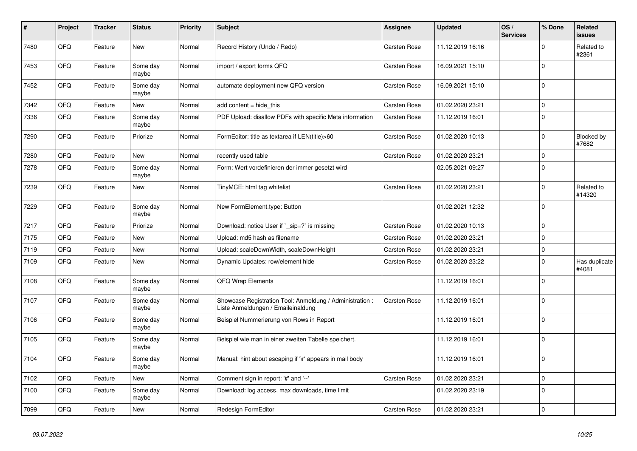| #    | Project | <b>Tracker</b> | <b>Status</b>     | <b>Priority</b> | <b>Subject</b>                                                                                 | Assignee            | <b>Updated</b>   | OS/<br><b>Services</b> | % Done      | Related<br><b>issues</b>   |
|------|---------|----------------|-------------------|-----------------|------------------------------------------------------------------------------------------------|---------------------|------------------|------------------------|-------------|----------------------------|
| 7480 | QFQ     | Feature        | <b>New</b>        | Normal          | Record History (Undo / Redo)                                                                   | <b>Carsten Rose</b> | 11.12.2019 16:16 |                        | $\Omega$    | Related to<br>#2361        |
| 7453 | QFQ     | Feature        | Some day<br>maybe | Normal          | import / export forms QFQ                                                                      | Carsten Rose        | 16.09.2021 15:10 |                        | $\mathbf 0$ |                            |
| 7452 | QFQ     | Feature        | Some day<br>maybe | Normal          | automate deployment new QFQ version                                                            | <b>Carsten Rose</b> | 16.09.2021 15:10 |                        | $\Omega$    |                            |
| 7342 | QFQ     | Feature        | New               | Normal          | add content = hide this                                                                        | Carsten Rose        | 01.02.2020 23:21 |                        | $\mathbf 0$ |                            |
| 7336 | QFQ     | Feature        | Some day<br>maybe | Normal          | PDF Upload: disallow PDFs with specific Meta information                                       | Carsten Rose        | 11.12.2019 16:01 |                        | $\Omega$    |                            |
| 7290 | QFQ     | Feature        | Priorize          | Normal          | FormEditor: title as textarea if LEN(title)>60                                                 | Carsten Rose        | 01.02.2020 10:13 |                        | $\Omega$    | <b>Blocked by</b><br>#7682 |
| 7280 | QFQ     | Feature        | New               | Normal          | recently used table                                                                            | <b>Carsten Rose</b> | 01.02.2020 23:21 |                        | $\mathbf 0$ |                            |
| 7278 | QFQ     | Feature        | Some day<br>maybe | Normal          | Form: Wert vordefinieren der immer gesetzt wird                                                |                     | 02.05.2021 09:27 |                        | $\Omega$    |                            |
| 7239 | QFQ     | Feature        | New               | Normal          | TinyMCE: html tag whitelist                                                                    | Carsten Rose        | 01.02.2020 23:21 |                        | $\mathbf 0$ | Related to<br>#14320       |
| 7229 | QFQ     | Feature        | Some day<br>maybe | Normal          | New FormElement.type: Button                                                                   |                     | 01.02.2021 12:32 |                        | $\Omega$    |                            |
| 7217 | QFQ     | Feature        | Priorize          | Normal          | Download: notice User if `_sip=?` is missing                                                   | <b>Carsten Rose</b> | 01.02.2020 10:13 |                        | $\Omega$    |                            |
| 7175 | QFQ     | Feature        | <b>New</b>        | Normal          | Upload: md5 hash as filename                                                                   | Carsten Rose        | 01.02.2020 23:21 |                        | $\Omega$    |                            |
| 7119 | QFQ     | Feature        | <b>New</b>        | Normal          | Upload: scaleDownWidth, scaleDownHeight                                                        | <b>Carsten Rose</b> | 01.02.2020 23:21 |                        | 0           |                            |
| 7109 | QFQ     | Feature        | New               | Normal          | Dynamic Updates: row/element hide                                                              | Carsten Rose        | 01.02.2020 23:22 |                        | $\mathbf 0$ | Has duplicate<br>#4081     |
| 7108 | QFQ     | Feature        | Some day<br>maybe | Normal          | <b>QFQ Wrap Elements</b>                                                                       |                     | 11.12.2019 16:01 |                        | $\Omega$    |                            |
| 7107 | QFQ     | Feature        | Some day<br>maybe | Normal          | Showcase Registration Tool: Anmeldung / Administration :<br>Liste Anmeldungen / Emaileinaldung | Carsten Rose        | 11.12.2019 16:01 |                        | $\Omega$    |                            |
| 7106 | QFQ     | Feature        | Some day<br>maybe | Normal          | Beispiel Nummerierung von Rows in Report                                                       |                     | 11.12.2019 16:01 |                        | $\Omega$    |                            |
| 7105 | QFQ     | Feature        | Some day<br>maybe | Normal          | Beispiel wie man in einer zweiten Tabelle speichert.                                           |                     | 11.12.2019 16:01 |                        | $\Omega$    |                            |
| 7104 | QFQ     | Feature        | Some day<br>maybe | Normal          | Manual: hint about escaping if '\r' appears in mail body                                       |                     | 11.12.2019 16:01 |                        | $\Omega$    |                            |
| 7102 | QFQ     | Feature        | <b>New</b>        | Normal          | Comment sign in report: '#' and '--'                                                           | Carsten Rose        | 01.02.2020 23:21 |                        | $\mathbf 0$ |                            |
| 7100 | QFQ     | Feature        | Some day<br>maybe | Normal          | Download: log access, max downloads, time limit                                                |                     | 01.02.2020 23:19 |                        | $\mathbf 0$ |                            |
| 7099 | QFQ     | Feature        | <b>New</b>        | Normal          | Redesign FormEditor                                                                            | Carsten Rose        | 01.02.2020 23:21 |                        | $\mathbf 0$ |                            |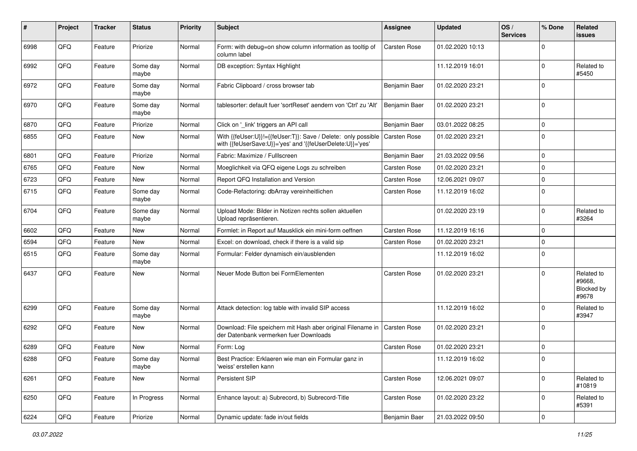| #    | Project | <b>Tracker</b> | <b>Status</b>     | <b>Priority</b> | <b>Subject</b>                                                                                                             | Assignee            | <b>Updated</b>   | OS/<br><b>Services</b> | % Done           | Related<br>issues                           |
|------|---------|----------------|-------------------|-----------------|----------------------------------------------------------------------------------------------------------------------------|---------------------|------------------|------------------------|------------------|---------------------------------------------|
| 6998 | QFQ     | Feature        | Priorize          | Normal          | Form: with debug=on show column information as tooltip of<br>column label                                                  | <b>Carsten Rose</b> | 01.02.2020 10:13 |                        | $\Omega$         |                                             |
| 6992 | QFQ     | Feature        | Some day<br>maybe | Normal          | DB exception: Syntax Highlight                                                                                             |                     | 11.12.2019 16:01 |                        | $\Omega$         | Related to<br>#5450                         |
| 6972 | QFQ     | Feature        | Some day<br>maybe | Normal          | Fabric Clipboard / cross browser tab                                                                                       | Benjamin Baer       | 01.02.2020 23:21 |                        | $\Omega$         |                                             |
| 6970 | QFQ     | Feature        | Some day<br>maybe | Normal          | tablesorter: default fuer 'sortReset' aendern von 'Ctrl' zu 'Alt'                                                          | Benjamin Baer       | 01.02.2020 23:21 |                        | $\Omega$         |                                             |
| 6870 | QFQ     | Feature        | Priorize          | Normal          | Click on '_link' triggers an API call                                                                                      | Benjamin Baer       | 03.01.2022 08:25 |                        | $\Omega$         |                                             |
| 6855 | QFQ     | Feature        | New               | Normal          | With {{feUser:U}}!={{feUser:T}}: Save / Delete: only possible<br>with {{feUserSave:U}}='yes' and '{{feUserDelete:U}}='yes' | <b>Carsten Rose</b> | 01.02.2020 23:21 |                        | $\Omega$         |                                             |
| 6801 | QFQ     | Feature        | Priorize          | Normal          | Fabric: Maximize / FullIscreen                                                                                             | Benjamin Baer       | 21.03.2022 09:56 |                        | $\Omega$         |                                             |
| 6765 | QFQ     | Feature        | New               | Normal          | Moeglichkeit via QFQ eigene Logs zu schreiben                                                                              | Carsten Rose        | 01.02.2020 23:21 |                        | $\Omega$         |                                             |
| 6723 | QFQ     | Feature        | New               | Normal          | Report QFQ Installation and Version                                                                                        | <b>Carsten Rose</b> | 12.06.2021 09:07 |                        | $\Omega$         |                                             |
| 6715 | QFQ     | Feature        | Some day<br>maybe | Normal          | Code-Refactoring: dbArray vereinheitlichen                                                                                 | <b>Carsten Rose</b> | 11.12.2019 16:02 |                        | $\Omega$         |                                             |
| 6704 | QFQ     | Feature        | Some day<br>maybe | Normal          | Upload Mode: Bilder in Notizen rechts sollen aktuellen<br>Upload repräsentieren.                                           |                     | 01.02.2020 23:19 |                        | $\Omega$         | Related to<br>#3264                         |
| 6602 | QFQ     | Feature        | New               | Normal          | Formlet: in Report auf Mausklick ein mini-form oeffnen                                                                     | <b>Carsten Rose</b> | 11.12.2019 16:16 |                        | $\Omega$         |                                             |
| 6594 | QFQ     | Feature        | New               | Normal          | Excel: on download, check if there is a valid sip                                                                          | Carsten Rose        | 01.02.2020 23:21 |                        | $\Omega$         |                                             |
| 6515 | QFQ     | Feature        | Some day<br>maybe | Normal          | Formular: Felder dynamisch ein/ausblenden                                                                                  |                     | 11.12.2019 16:02 |                        | $\Omega$         |                                             |
| 6437 | QFQ     | Feature        | <b>New</b>        | Normal          | Neuer Mode Button bei FormElementen                                                                                        | <b>Carsten Rose</b> | 01.02.2020 23:21 |                        | $\Omega$         | Related to<br>#9668.<br>Blocked by<br>#9678 |
| 6299 | QFQ     | Feature        | Some day<br>maybe | Normal          | Attack detection: log table with invalid SIP access                                                                        |                     | 11.12.2019 16:02 |                        | $\Omega$         | Related to<br>#3947                         |
| 6292 | QFQ     | Feature        | New               | Normal          | Download: File speichern mit Hash aber original Filename in<br>der Datenbank vermerken fuer Downloads                      | Carsten Rose        | 01.02.2020 23:21 |                        | $\Omega$         |                                             |
| 6289 | QFQ     | Feature        | New               | Normal          | Form: Log                                                                                                                  | <b>Carsten Rose</b> | 01.02.2020 23:21 |                        | $\Omega$         |                                             |
| 6288 | QFQ     | Feature        | Some day<br>maybe | Normal          | Best Practice: Erklaeren wie man ein Formular ganz in<br>'weiss' erstellen kann                                            |                     | 11.12.2019 16:02 |                        | $\mathbf 0$      |                                             |
| 6261 | QFQ     | Feature        | New               | Normal          | Persistent SIP                                                                                                             | Carsten Rose        | 12.06.2021 09:07 |                        | $\Omega$         | Related to<br>#10819                        |
| 6250 | QFQ     | Feature        | In Progress       | Normal          | Enhance layout: a) Subrecord, b) Subrecord-Title                                                                           | Carsten Rose        | 01.02.2020 23:22 |                        | 0                | Related to<br>#5391                         |
| 6224 | QFG     | Feature        | Priorize          | Normal          | Dynamic update: fade in/out fields                                                                                         | Benjamin Baer       | 21.03.2022 09:50 |                        | $\boldsymbol{0}$ |                                             |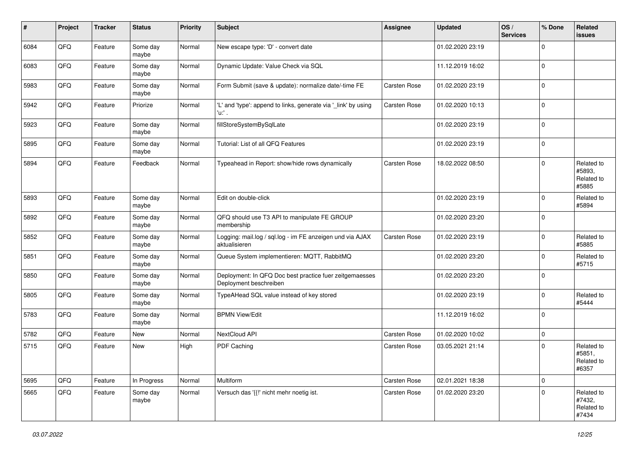| #    | Project | <b>Tracker</b> | <b>Status</b>     | <b>Priority</b> | <b>Subject</b>                                                                    | Assignee            | <b>Updated</b>   | OS/<br><b>Services</b> | % Done      | Related<br><b>issues</b>                    |
|------|---------|----------------|-------------------|-----------------|-----------------------------------------------------------------------------------|---------------------|------------------|------------------------|-------------|---------------------------------------------|
| 6084 | QFQ     | Feature        | Some day<br>maybe | Normal          | New escape type: 'D' - convert date                                               |                     | 01.02.2020 23:19 |                        | $\Omega$    |                                             |
| 6083 | QFQ     | Feature        | Some day<br>maybe | Normal          | Dynamic Update: Value Check via SQL                                               |                     | 11.12.2019 16:02 |                        | $\mathbf 0$ |                                             |
| 5983 | QFQ     | Feature        | Some day<br>maybe | Normal          | Form Submit (save & update): normalize date/-time FE                              | <b>Carsten Rose</b> | 01.02.2020 23:19 |                        | $\Omega$    |                                             |
| 5942 | QFQ     | Feature        | Priorize          | Normal          | 'L' and 'type': append to links, generate via '_link' by using<br>'u.' .          | Carsten Rose        | 01.02.2020 10:13 |                        | $\Omega$    |                                             |
| 5923 | QFQ     | Feature        | Some day<br>maybe | Normal          | fillStoreSystemBySqlLate                                                          |                     | 01.02.2020 23:19 |                        | $\Omega$    |                                             |
| 5895 | QFQ     | Feature        | Some day<br>maybe | Normal          | Tutorial: List of all QFQ Features                                                |                     | 01.02.2020 23:19 |                        | $\mathbf 0$ |                                             |
| 5894 | QFQ     | Feature        | Feedback          | Normal          | Typeahead in Report: show/hide rows dynamically                                   | <b>Carsten Rose</b> | 18.02.2022 08:50 |                        | $\mathbf 0$ | Related to<br>#5893,<br>Related to<br>#5885 |
| 5893 | QFQ     | Feature        | Some day<br>maybe | Normal          | Edit on double-click                                                              |                     | 01.02.2020 23:19 |                        | $\mathbf 0$ | Related to<br>#5894                         |
| 5892 | QFQ     | Feature        | Some day<br>maybe | Normal          | QFQ should use T3 API to manipulate FE GROUP<br>membership                        |                     | 01.02.2020 23:20 |                        | $\Omega$    |                                             |
| 5852 | QFQ     | Feature        | Some day<br>maybe | Normal          | Logging: mail.log / sql.log - im FE anzeigen und via AJAX<br>aktualisieren        | <b>Carsten Rose</b> | 01.02.2020 23:19 |                        | $\Omega$    | Related to<br>#5885                         |
| 5851 | QFQ     | Feature        | Some day<br>maybe | Normal          | Queue System implementieren: MQTT, RabbitMQ                                       |                     | 01.02.2020 23:20 |                        | $\Omega$    | Related to<br>#5715                         |
| 5850 | QFQ     | Feature        | Some day<br>maybe | Normal          | Deployment: In QFQ Doc best practice fuer zeitgemaesses<br>Deployment beschreiben |                     | 01.02.2020 23:20 |                        | $\Omega$    |                                             |
| 5805 | QFQ     | Feature        | Some day<br>maybe | Normal          | TypeAHead SQL value instead of key stored                                         |                     | 01.02.2020 23:19 |                        | $\mathbf 0$ | Related to<br>#5444                         |
| 5783 | QFQ     | Feature        | Some day<br>maybe | Normal          | <b>BPMN View/Edit</b>                                                             |                     | 11.12.2019 16:02 |                        | $\Omega$    |                                             |
| 5782 | QFQ     | Feature        | New               | Normal          | NextCloud API                                                                     | Carsten Rose        | 01.02.2020 10:02 |                        | $\mathbf 0$ |                                             |
| 5715 | QFQ     | Feature        | New               | High            | PDF Caching                                                                       | <b>Carsten Rose</b> | 03.05.2021 21:14 |                        | $\Omega$    | Related to<br>#5851,<br>Related to<br>#6357 |
| 5695 | QFQ     | Feature        | In Progress       | Normal          | Multiform                                                                         | Carsten Rose        | 02.01.2021 18:38 |                        | $\mathbf 0$ |                                             |
| 5665 | QFQ     | Feature        | Some day<br>maybe | Normal          | Versuch das '{{!' nicht mehr noetig ist.                                          | Carsten Rose        | 01.02.2020 23:20 |                        | $\Omega$    | Related to<br>#7432,<br>Related to<br>#7434 |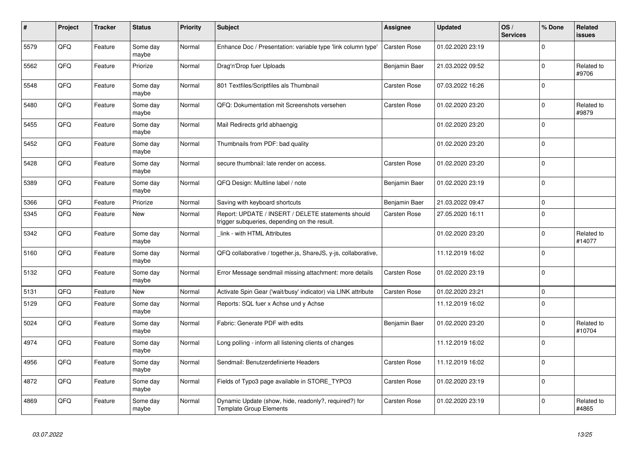| #    | Project | <b>Tracker</b> | <b>Status</b>     | <b>Priority</b> | <b>Subject</b>                                                                                     | <b>Assignee</b>     | <b>Updated</b>   | OS/<br><b>Services</b> | % Done      | Related<br><b>issues</b> |
|------|---------|----------------|-------------------|-----------------|----------------------------------------------------------------------------------------------------|---------------------|------------------|------------------------|-------------|--------------------------|
| 5579 | QFQ     | Feature        | Some day<br>maybe | Normal          | Enhance Doc / Presentation: variable type 'link column type'                                       | <b>Carsten Rose</b> | 01.02.2020 23:19 |                        | $\Omega$    |                          |
| 5562 | QFQ     | Feature        | Priorize          | Normal          | Drag'n'Drop fuer Uploads                                                                           | Benjamin Baer       | 21.03.2022 09:52 |                        | $\Omega$    | Related to<br>#9706      |
| 5548 | QFQ     | Feature        | Some day<br>maybe | Normal          | 801 Textfiles/Scriptfiles als Thumbnail                                                            | <b>Carsten Rose</b> | 07.03.2022 16:26 |                        | $\Omega$    |                          |
| 5480 | QFQ     | Feature        | Some day<br>maybe | Normal          | QFQ: Dokumentation mit Screenshots versehen                                                        | <b>Carsten Rose</b> | 01.02.2020 23:20 |                        | $\Omega$    | Related to<br>#9879      |
| 5455 | QFQ     | Feature        | Some day<br>maybe | Normal          | Mail Redirects grld abhaengig                                                                      |                     | 01.02.2020 23:20 |                        | $\Omega$    |                          |
| 5452 | QFQ     | Feature        | Some day<br>maybe | Normal          | Thumbnails from PDF: bad quality                                                                   |                     | 01.02.2020 23:20 |                        | $\Omega$    |                          |
| 5428 | QFQ     | Feature        | Some day<br>maybe | Normal          | secure thumbnail: late render on access.                                                           | <b>Carsten Rose</b> | 01.02.2020 23:20 |                        | $\mathbf 0$ |                          |
| 5389 | QFQ     | Feature        | Some day<br>maybe | Normal          | QFQ Design: Multline label / note                                                                  | Benjamin Baer       | 01.02.2020 23:19 |                        | $\Omega$    |                          |
| 5366 | QFQ     | Feature        | Priorize          | Normal          | Saving with keyboard shortcuts                                                                     | Benjamin Baer       | 21.03.2022 09:47 |                        | $\Omega$    |                          |
| 5345 | QFQ     | Feature        | New               | Normal          | Report: UPDATE / INSERT / DELETE statements should<br>trigger subqueries, depending on the result. | <b>Carsten Rose</b> | 27.05.2020 16:11 |                        | $\Omega$    |                          |
| 5342 | QFQ     | Feature        | Some day<br>maybe | Normal          | link - with HTML Attributes                                                                        |                     | 01.02.2020 23:20 |                        | $\Omega$    | Related to<br>#14077     |
| 5160 | QFQ     | Feature        | Some day<br>maybe | Normal          | QFQ collaborative / together.js, ShareJS, y-js, collaborative,                                     |                     | 11.12.2019 16:02 |                        | $\mathbf 0$ |                          |
| 5132 | QFQ     | Feature        | Some day<br>maybe | Normal          | Error Message sendmail missing attachment: more details                                            | <b>Carsten Rose</b> | 01.02.2020 23:19 |                        | $\Omega$    |                          |
| 5131 | QFQ     | Feature        | New               | Normal          | Activate Spin Gear ('wait/busy' indicator) via LINK attribute                                      | Carsten Rose        | 01.02.2020 23:21 |                        | $\mathbf 0$ |                          |
| 5129 | QFQ     | Feature        | Some day<br>maybe | Normal          | Reports: SQL fuer x Achse und y Achse                                                              |                     | 11.12.2019 16:02 |                        | $\Omega$    |                          |
| 5024 | QFQ     | Feature        | Some day<br>maybe | Normal          | Fabric: Generate PDF with edits                                                                    | Benjamin Baer       | 01.02.2020 23:20 |                        | $\Omega$    | Related to<br>#10704     |
| 4974 | QFQ     | Feature        | Some day<br>maybe | Normal          | Long polling - inform all listening clients of changes                                             |                     | 11.12.2019 16:02 |                        | $\Omega$    |                          |
| 4956 | QFQ     | Feature        | Some day<br>maybe | Normal          | Sendmail: Benutzerdefinierte Headers                                                               | Carsten Rose        | 11.12.2019 16:02 |                        | $\Omega$    |                          |
| 4872 | QFQ     | Feature        | Some day<br>maybe | Normal          | Fields of Typo3 page available in STORE TYPO3                                                      | <b>Carsten Rose</b> | 01.02.2020 23:19 |                        | $\Omega$    |                          |
| 4869 | QFQ     | Feature        | Some day<br>maybe | Normal          | Dynamic Update (show, hide, readonly?, required?) for<br><b>Template Group Elements</b>            | <b>Carsten Rose</b> | 01.02.2020 23:19 |                        | $\Omega$    | Related to<br>#4865      |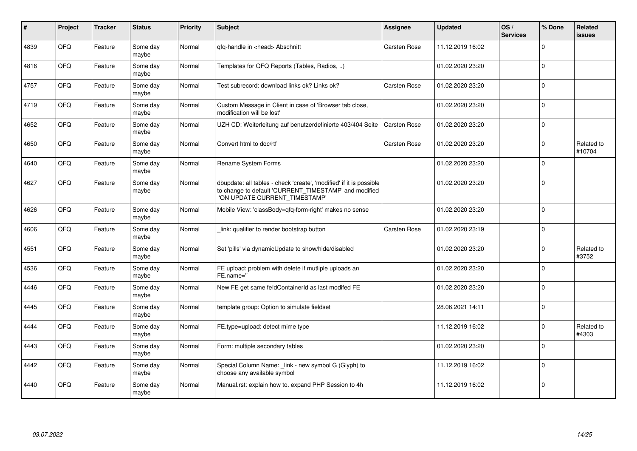| #    | Project | <b>Tracker</b> | <b>Status</b>     | <b>Priority</b> | <b>Subject</b>                                                                                                                                                | Assignee     | <b>Updated</b>   | OS/<br><b>Services</b> | % Done      | Related<br><b>issues</b> |
|------|---------|----------------|-------------------|-----------------|---------------------------------------------------------------------------------------------------------------------------------------------------------------|--------------|------------------|------------------------|-------------|--------------------------|
| 4839 | QFQ     | Feature        | Some day<br>maybe | Normal          | qfq-handle in <head> Abschnitt</head>                                                                                                                         | Carsten Rose | 11.12.2019 16:02 |                        | $\Omega$    |                          |
| 4816 | QFQ     | Feature        | Some day<br>maybe | Normal          | Templates for QFQ Reports (Tables, Radios, )                                                                                                                  |              | 01.02.2020 23:20 |                        | $\Omega$    |                          |
| 4757 | QFQ     | Feature        | Some day<br>maybe | Normal          | Test subrecord: download links ok? Links ok?                                                                                                                  | Carsten Rose | 01.02.2020 23:20 |                        | $\Omega$    |                          |
| 4719 | QFQ     | Feature        | Some day<br>maybe | Normal          | Custom Message in Client in case of 'Browser tab close,<br>modification will be lost'                                                                         |              | 01.02.2020 23:20 |                        | $\mathbf 0$ |                          |
| 4652 | QFQ     | Feature        | Some day<br>maybe | Normal          | UZH CD: Weiterleitung auf benutzerdefinierte 403/404 Seite                                                                                                    | Carsten Rose | 01.02.2020 23:20 |                        | $\pmb{0}$   |                          |
| 4650 | QFQ     | Feature        | Some day<br>maybe | Normal          | Convert html to doc/rtf                                                                                                                                       | Carsten Rose | 01.02.2020 23:20 |                        | 0           | Related to<br>#10704     |
| 4640 | QFQ     | Feature        | Some day<br>maybe | Normal          | Rename System Forms                                                                                                                                           |              | 01.02.2020 23:20 |                        | $\Omega$    |                          |
| 4627 | QFQ     | Feature        | Some day<br>maybe | Normal          | dbupdate: all tables - check 'create', 'modified' if it is possible<br>to change to default 'CURRENT_TIMESTAMP' and modified<br>'ON UPDATE CURRENT_TIMESTAMP' |              | 01.02.2020 23:20 |                        | $\Omega$    |                          |
| 4626 | QFQ     | Feature        | Some day<br>maybe | Normal          | Mobile View: 'classBody=qfq-form-right' makes no sense                                                                                                        |              | 01.02.2020 23:20 |                        | $\mathbf 0$ |                          |
| 4606 | QFQ     | Feature        | Some day<br>maybe | Normal          | link: qualifier to render bootstrap button                                                                                                                    | Carsten Rose | 01.02.2020 23:19 |                        | $\Omega$    |                          |
| 4551 | QFQ     | Feature        | Some day<br>maybe | Normal          | Set 'pills' via dynamicUpdate to show/hide/disabled                                                                                                           |              | 01.02.2020 23:20 |                        | $\Omega$    | Related to<br>#3752      |
| 4536 | QFQ     | Feature        | Some day<br>maybe | Normal          | FE upload: problem with delete if mutliple uploads an<br>FE.name="                                                                                            |              | 01.02.2020 23:20 |                        | $\Omega$    |                          |
| 4446 | QFQ     | Feature        | Some day<br>maybe | Normal          | New FE get same feldContainerId as last modifed FE                                                                                                            |              | 01.02.2020 23:20 |                        | $\Omega$    |                          |
| 4445 | QFQ     | Feature        | Some day<br>maybe | Normal          | template group: Option to simulate fieldset                                                                                                                   |              | 28.06.2021 14:11 |                        | $\mathbf 0$ |                          |
| 4444 | QFQ     | Feature        | Some day<br>maybe | Normal          | FE.type=upload: detect mime type                                                                                                                              |              | 11.12.2019 16:02 |                        | 0           | Related to<br>#4303      |
| 4443 | QFQ     | Feature        | Some day<br>maybe | Normal          | Form: multiple secondary tables                                                                                                                               |              | 01.02.2020 23:20 |                        | $\Omega$    |                          |
| 4442 | QFQ     | Feature        | Some day<br>maybe | Normal          | Special Column Name: _link - new symbol G (Glyph) to<br>choose any available symbol                                                                           |              | 11.12.2019 16:02 |                        | $\Omega$    |                          |
| 4440 | QFQ     | Feature        | Some day<br>maybe | Normal          | Manual.rst: explain how to. expand PHP Session to 4h                                                                                                          |              | 11.12.2019 16:02 |                        | $\mathbf 0$ |                          |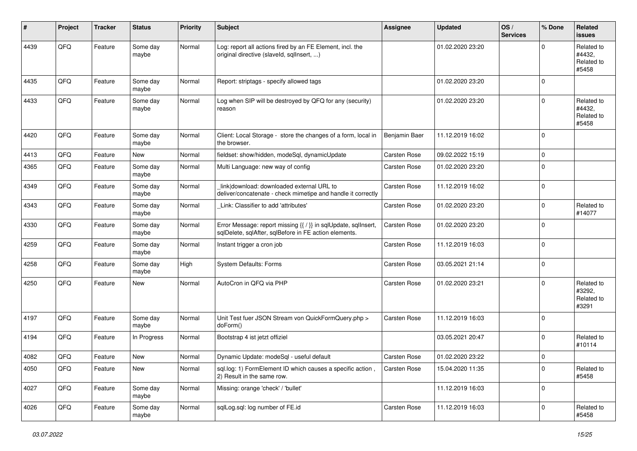| ∦    | Project | <b>Tracker</b> | <b>Status</b>     | <b>Priority</b> | <b>Subject</b>                                                                                                          | <b>Assignee</b>     | <b>Updated</b>   | OS/<br><b>Services</b> | % Done      | <b>Related</b><br><b>issues</b>             |
|------|---------|----------------|-------------------|-----------------|-------------------------------------------------------------------------------------------------------------------------|---------------------|------------------|------------------------|-------------|---------------------------------------------|
| 4439 | QFQ     | Feature        | Some day<br>maybe | Normal          | Log: report all actions fired by an FE Element, incl. the<br>original directive (slaveld, sqllnsert, )                  |                     | 01.02.2020 23:20 |                        | 0           | Related to<br>#4432.<br>Related to<br>#5458 |
| 4435 | QFQ     | Feature        | Some day<br>maybe | Normal          | Report: striptags - specify allowed tags                                                                                |                     | 01.02.2020 23:20 |                        | $\Omega$    |                                             |
| 4433 | QFQ     | Feature        | Some day<br>maybe | Normal          | Log when SIP will be destroyed by QFQ for any (security)<br>reason                                                      |                     | 01.02.2020 23:20 |                        | 0           | Related to<br>#4432,<br>Related to<br>#5458 |
| 4420 | QFQ     | Feature        | Some day<br>maybe | Normal          | Client: Local Storage - store the changes of a form, local in<br>the browser.                                           | Benjamin Baer       | 11.12.2019 16:02 |                        | $\Omega$    |                                             |
| 4413 | QFQ     | Feature        | New               | Normal          | fieldset: show/hidden, modeSql, dynamicUpdate                                                                           | Carsten Rose        | 09.02.2022 15:19 |                        | 0           |                                             |
| 4365 | QFQ     | Feature        | Some day<br>maybe | Normal          | Multi Language: new way of config                                                                                       | Carsten Rose        | 01.02.2020 23:20 |                        | 0           |                                             |
| 4349 | QFQ     | Feature        | Some day<br>maybe | Normal          | link download: downloaded external URL to<br>deliver/concatenate - check mimetipe and handle it correctly               | Carsten Rose        | 11.12.2019 16:02 |                        | 0           |                                             |
| 4343 | QFQ     | Feature        | Some day<br>maybe | Normal          | Link: Classifier to add 'attributes'                                                                                    | Carsten Rose        | 01.02.2020 23:20 |                        | 0           | Related to<br>#14077                        |
| 4330 | QFQ     | Feature        | Some day<br>maybe | Normal          | Error Message: report missing {{ / }} in sqlUpdate, sqlInsert,<br>sqlDelete, sqlAfter, sqlBefore in FE action elements. | Carsten Rose        | 01.02.2020 23:20 |                        | $\Omega$    |                                             |
| 4259 | QFQ     | Feature        | Some day<br>maybe | Normal          | Instant trigger a cron job                                                                                              | Carsten Rose        | 11.12.2019 16:03 |                        | $\Omega$    |                                             |
| 4258 | QFQ     | Feature        | Some day<br>maybe | High            | System Defaults: Forms                                                                                                  | Carsten Rose        | 03.05.2021 21:14 |                        | $\mathbf 0$ |                                             |
| 4250 | QFQ     | Feature        | New               | Normal          | AutoCron in QFQ via PHP                                                                                                 | Carsten Rose        | 01.02.2020 23:21 |                        | 0           | Related to<br>#3292.<br>Related to<br>#3291 |
| 4197 | QFQ     | Feature        | Some day<br>maybe | Normal          | Unit Test fuer JSON Stream von QuickFormQuery.php ><br>doForm()                                                         | Carsten Rose        | 11.12.2019 16:03 |                        | 0           |                                             |
| 4194 | QFQ     | Feature        | In Progress       | Normal          | Bootstrap 4 ist jetzt offiziel                                                                                          |                     | 03.05.2021 20:47 |                        | 0           | Related to<br>#10114                        |
| 4082 | QFQ     | Feature        | New               | Normal          | Dynamic Update: modeSql - useful default                                                                                | <b>Carsten Rose</b> | 01.02.2020 23:22 |                        | $\mathbf 0$ |                                             |
| 4050 | QFQ     | Feature        | New               | Normal          | sql.log: 1) FormElement ID which causes a specific action,<br>2) Result in the same row.                                | Carsten Rose        | 15.04.2020 11:35 |                        | 0           | Related to<br>#5458                         |
| 4027 | QFQ     | Feature        | Some day<br>maybe | Normal          | Missing: orange 'check' / 'bullet'                                                                                      |                     | 11.12.2019 16:03 |                        | 0           |                                             |
| 4026 | QFG     | Feature        | Some day<br>maybe | Normal          | sqlLog.sql: log number of FE.id                                                                                         | Carsten Rose        | 11.12.2019 16:03 |                        | $\mathbf 0$ | Related to<br>#5458                         |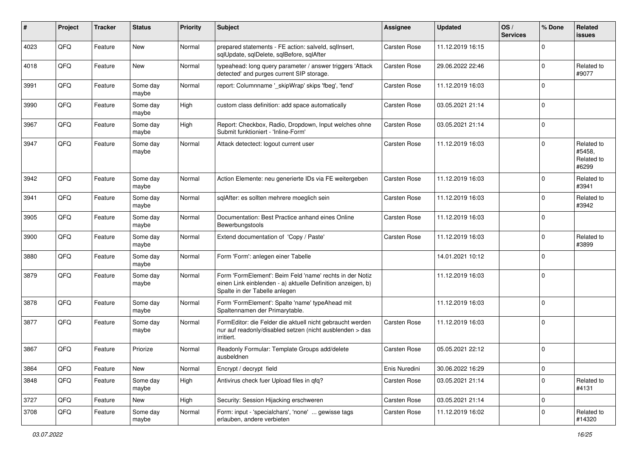| $\sharp$ | Project | <b>Tracker</b> | <b>Status</b>     | <b>Priority</b> | <b>Subject</b>                                                                                                                                           | Assignee            | <b>Updated</b>   | OS/<br><b>Services</b> | % Done      | Related<br>issues                           |
|----------|---------|----------------|-------------------|-----------------|----------------------------------------------------------------------------------------------------------------------------------------------------------|---------------------|------------------|------------------------|-------------|---------------------------------------------|
| 4023     | QFQ     | Feature        | <b>New</b>        | Normal          | prepared statements - FE action: salveld, sqlInsert,<br>sqlUpdate, sqlDelete, sqlBefore, sqlAfter                                                        | <b>Carsten Rose</b> | 11.12.2019 16:15 |                        | $\Omega$    |                                             |
| 4018     | QFQ     | Feature        | New               | Normal          | typeahead: long query parameter / answer triggers 'Attack<br>detected' and purges current SIP storage.                                                   | <b>Carsten Rose</b> | 29.06.2022 22:46 |                        | $\Omega$    | Related to<br>#9077                         |
| 3991     | QFQ     | Feature        | Some day<br>maybe | Normal          | report: Columnname '_skipWrap' skips 'fbeg', 'fend'                                                                                                      | Carsten Rose        | 11.12.2019 16:03 |                        | $\Omega$    |                                             |
| 3990     | QFQ     | Feature        | Some day<br>maybe | High            | custom class definition: add space automatically                                                                                                         | <b>Carsten Rose</b> | 03.05.2021 21:14 |                        | $\Omega$    |                                             |
| 3967     | QFQ     | Feature        | Some day<br>maybe | High            | Report: Checkbox, Radio, Dropdown, Input welches ohne<br>Submit funktioniert - 'Inline-Form'                                                             | <b>Carsten Rose</b> | 03.05.2021 21:14 |                        | $\Omega$    |                                             |
| 3947     | QFQ     | Feature        | Some day<br>maybe | Normal          | Attack detectect: logout current user                                                                                                                    | <b>Carsten Rose</b> | 11.12.2019 16:03 |                        | $\mathbf 0$ | Related to<br>#5458.<br>Related to<br>#6299 |
| 3942     | QFQ     | Feature        | Some day<br>maybe | Normal          | Action Elemente: neu generierte IDs via FE weitergeben                                                                                                   | <b>Carsten Rose</b> | 11.12.2019 16:03 |                        | $\Omega$    | Related to<br>#3941                         |
| 3941     | QFQ     | Feature        | Some day<br>maybe | Normal          | sqlAfter: es sollten mehrere moeglich sein                                                                                                               | Carsten Rose        | 11.12.2019 16:03 |                        | $\Omega$    | Related to<br>#3942                         |
| 3905     | QFQ     | Feature        | Some day<br>maybe | Normal          | Documentation: Best Practice anhand eines Online<br>Bewerbungstools                                                                                      | Carsten Rose        | 11.12.2019 16:03 |                        | $\Omega$    |                                             |
| 3900     | QFQ     | Feature        | Some day<br>maybe | Normal          | Extend documentation of 'Copy / Paste'                                                                                                                   | <b>Carsten Rose</b> | 11.12.2019 16:03 |                        | $\Omega$    | Related to<br>#3899                         |
| 3880     | QFQ     | Feature        | Some day<br>maybe | Normal          | Form 'Form': anlegen einer Tabelle                                                                                                                       |                     | 14.01.2021 10:12 |                        | $\Omega$    |                                             |
| 3879     | QFQ     | Feature        | Some day<br>maybe | Normal          | Form 'FormElement': Beim Feld 'name' rechts in der Notiz<br>einen Link einblenden - a) aktuelle Definition anzeigen, b)<br>Spalte in der Tabelle anlegen |                     | 11.12.2019 16:03 |                        | $\Omega$    |                                             |
| 3878     | QFQ     | Feature        | Some day<br>maybe | Normal          | Form 'FormElement': Spalte 'name' typeAhead mit<br>Spaltennamen der Primarytable.                                                                        |                     | 11.12.2019 16:03 |                        | $\Omega$    |                                             |
| 3877     | QFQ     | Feature        | Some day<br>maybe | Normal          | FormEditor: die Felder die aktuell nicht gebraucht werden<br>nur auf readonly/disabled setzen (nicht ausblenden > das<br>irritiert.                      | Carsten Rose        | 11.12.2019 16:03 |                        | $\Omega$    |                                             |
| 3867     | QFQ     | Feature        | Priorize          | Normal          | Readonly Formular: Template Groups add/delete<br>ausbeldnen                                                                                              | Carsten Rose        | 05.05.2021 22:12 |                        | $\Omega$    |                                             |
| 3864     | QFQ     | Feature        | New               | Normal          | Encrypt / decrypt field                                                                                                                                  | Enis Nuredini       | 30.06.2022 16:29 |                        | $\mathbf 0$ |                                             |
| 3848     | QFQ     | Feature        | Some day<br>maybe | High            | Antivirus check fuer Upload files in qfq?                                                                                                                | Carsten Rose        | 03.05.2021 21:14 |                        | $\mathbf 0$ | Related to<br>#4131                         |
| 3727     | QFQ     | Feature        | New               | High            | Security: Session Hijacking erschweren                                                                                                                   | Carsten Rose        | 03.05.2021 21:14 |                        | 0           |                                             |
| 3708     | QFQ     | Feature        | Some day<br>maybe | Normal          | Form: input - 'specialchars', 'none'  gewisse tags<br>erlauben, andere verbieten                                                                         | Carsten Rose        | 11.12.2019 16:02 |                        | $\mathbf 0$ | Related to<br>#14320                        |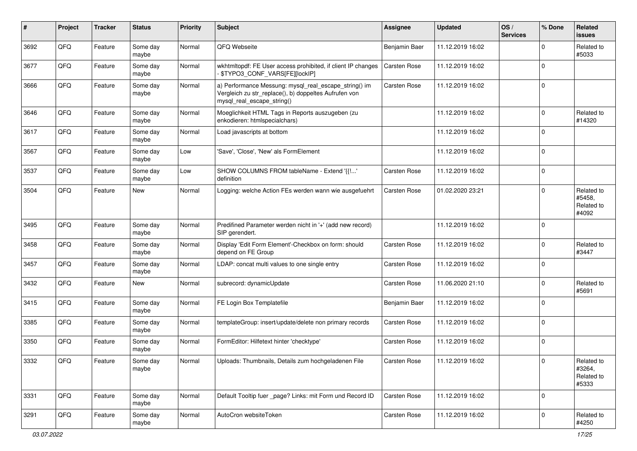| ∦    | Project | <b>Tracker</b> | <b>Status</b>     | <b>Priority</b> | Subject                                                                                                                                      | <b>Assignee</b> | <b>Updated</b>   | OS/<br><b>Services</b> | % Done      | Related<br>issues                           |
|------|---------|----------------|-------------------|-----------------|----------------------------------------------------------------------------------------------------------------------------------------------|-----------------|------------------|------------------------|-------------|---------------------------------------------|
| 3692 | QFQ     | Feature        | Some day<br>maybe | Normal          | QFQ Webseite                                                                                                                                 | Benjamin Baer   | 11.12.2019 16:02 |                        | $\Omega$    | Related to<br>#5033                         |
| 3677 | QFQ     | Feature        | Some day<br>maybe | Normal          | wkhtmltopdf: FE User access prohibited, if client IP changes<br>\$TYPO3_CONF_VARS[FE][lockIP]                                                | Carsten Rose    | 11.12.2019 16:02 |                        | $\mathbf 0$ |                                             |
| 3666 | QFQ     | Feature        | Some day<br>maybe | Normal          | a) Performance Messung: mysql_real_escape_string() im<br>Vergleich zu str_replace(), b) doppeltes Aufrufen von<br>mysql_real_escape_string() | Carsten Rose    | 11.12.2019 16:02 |                        | $\Omega$    |                                             |
| 3646 | QFQ     | Feature        | Some day<br>maybe | Normal          | Moeglichkeit HTML Tags in Reports auszugeben (zu<br>enkodieren: htmlspecialchars)                                                            |                 | 11.12.2019 16:02 |                        | $\mathbf 0$ | Related to<br>#14320                        |
| 3617 | QFQ     | Feature        | Some day<br>maybe | Normal          | Load javascripts at bottom                                                                                                                   |                 | 11.12.2019 16:02 |                        | $\mathbf 0$ |                                             |
| 3567 | QFQ     | Feature        | Some day<br>maybe | Low             | 'Save', 'Close', 'New' als FormElement                                                                                                       |                 | 11.12.2019 16:02 |                        | $\Omega$    |                                             |
| 3537 | QFQ     | Feature        | Some day<br>maybe | Low             | SHOW COLUMNS FROM tableName - Extend '{{!'<br>definition                                                                                     | Carsten Rose    | 11.12.2019 16:02 |                        | $\mathbf 0$ |                                             |
| 3504 | QFQ     | Feature        | New               | Normal          | Logging: welche Action FEs werden wann wie ausgefuehrt                                                                                       | Carsten Rose    | 01.02.2020 23:21 |                        | $\Omega$    | Related to<br>#5458,<br>Related to<br>#4092 |
| 3495 | QFQ     | Feature        | Some day<br>maybe | Normal          | Predifined Parameter werden nicht in '+' (add new record)<br>SIP gerendert.                                                                  |                 | 11.12.2019 16:02 |                        | $\Omega$    |                                             |
| 3458 | QFQ     | Feature        | Some day<br>maybe | Normal          | Display 'Edit Form Element'-Checkbox on form: should<br>depend on FE Group                                                                   | Carsten Rose    | 11.12.2019 16:02 |                        | $\mathbf 0$ | Related to<br>#3447                         |
| 3457 | QFQ     | Feature        | Some day<br>maybe | Normal          | LDAP: concat multi values to one single entry                                                                                                | Carsten Rose    | 11.12.2019 16:02 |                        | $\mathbf 0$ |                                             |
| 3432 | QFQ     | Feature        | New               | Normal          | subrecord: dynamicUpdate                                                                                                                     | Carsten Rose    | 11.06.2020 21:10 |                        | $\mathbf 0$ | Related to<br>#5691                         |
| 3415 | QFQ     | Feature        | Some day<br>maybe | Normal          | FE Login Box Templatefile                                                                                                                    | Benjamin Baer   | 11.12.2019 16:02 |                        | $\mathbf 0$ |                                             |
| 3385 | QFQ     | Feature        | Some day<br>maybe | Normal          | templateGroup: insert/update/delete non primary records                                                                                      | Carsten Rose    | 11.12.2019 16:02 |                        | $\Omega$    |                                             |
| 3350 | QFQ     | Feature        | Some day<br>maybe | Normal          | FormEditor: Hilfetext hinter 'checktype'                                                                                                     | Carsten Rose    | 11.12.2019 16:02 |                        | $\mathbf 0$ |                                             |
| 3332 | QFQ     | Feature        | Some day<br>maybe | Normal          | Uploads: Thumbnails, Details zum hochgeladenen File                                                                                          | Carsten Rose    | 11.12.2019 16:02 |                        | $\mathsf 0$ | Related to<br>#3264,<br>Related to<br>#5333 |
| 3331 | QFQ     | Feature        | Some day<br>maybe | Normal          | Default Tooltip fuer _page? Links: mit Form und Record ID                                                                                    | Carsten Rose    | 11.12.2019 16:02 |                        | 0           |                                             |
| 3291 | QFQ     | Feature        | Some day<br>maybe | Normal          | AutoCron websiteToken                                                                                                                        | Carsten Rose    | 11.12.2019 16:02 |                        | $\mathbf 0$ | Related to<br>#4250                         |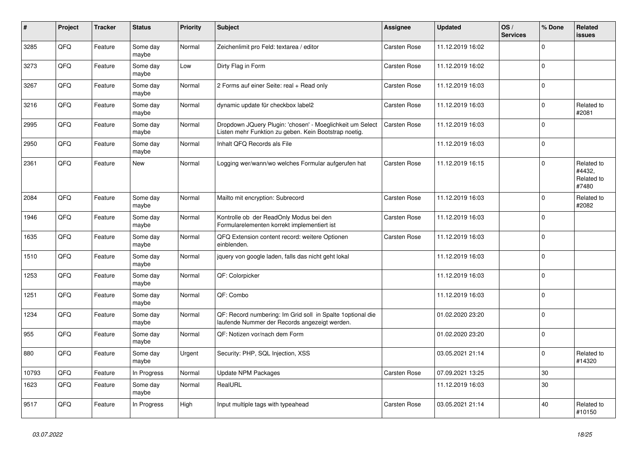| $\vert$ # | <b>Project</b> | <b>Tracker</b> | <b>Status</b>     | <b>Priority</b> | <b>Subject</b>                                                                                                     | Assignee     | <b>Updated</b>   | OS/<br><b>Services</b> | % Done      | Related<br>issues                           |
|-----------|----------------|----------------|-------------------|-----------------|--------------------------------------------------------------------------------------------------------------------|--------------|------------------|------------------------|-------------|---------------------------------------------|
| 3285      | QFQ            | Feature        | Some day<br>maybe | Normal          | Zeichenlimit pro Feld: textarea / editor                                                                           | Carsten Rose | 11.12.2019 16:02 |                        | $\mathbf 0$ |                                             |
| 3273      | QFQ            | Feature        | Some day<br>maybe | Low             | Dirty Flag in Form                                                                                                 | Carsten Rose | 11.12.2019 16:02 |                        | $\mathbf 0$ |                                             |
| 3267      | QFQ            | Feature        | Some day<br>maybe | Normal          | 2 Forms auf einer Seite: real + Read only                                                                          | Carsten Rose | 11.12.2019 16:03 |                        | $\Omega$    |                                             |
| 3216      | QFQ            | Feature        | Some day<br>maybe | Normal          | dynamic update für checkbox label2                                                                                 | Carsten Rose | 11.12.2019 16:03 |                        | $\Omega$    | Related to<br>#2081                         |
| 2995      | QFQ            | Feature        | Some day<br>maybe | Normal          | Dropdown JQuery Plugin: 'chosen' - Moeglichkeit um Select<br>Listen mehr Funktion zu geben. Kein Bootstrap noetig. | Carsten Rose | 11.12.2019 16:03 |                        | $\mathbf 0$ |                                             |
| 2950      | QFQ            | Feature        | Some day<br>maybe | Normal          | Inhalt QFQ Records als File                                                                                        |              | 11.12.2019 16:03 |                        | 0           |                                             |
| 2361      | QFQ            | Feature        | New               | Normal          | Logging wer/wann/wo welches Formular aufgerufen hat                                                                | Carsten Rose | 11.12.2019 16:15 |                        | $\Omega$    | Related to<br>#4432,<br>Related to<br>#7480 |
| 2084      | QFQ            | Feature        | Some day<br>maybe | Normal          | Mailto mit encryption: Subrecord                                                                                   | Carsten Rose | 11.12.2019 16:03 |                        | $\pmb{0}$   | Related to<br>#2082                         |
| 1946      | QFQ            | Feature        | Some day<br>maybe | Normal          | Kontrolle ob der ReadOnly Modus bei den<br>Formularelementen korrekt implementiert ist                             | Carsten Rose | 11.12.2019 16:03 |                        | $\Omega$    |                                             |
| 1635      | QFQ            | Feature        | Some day<br>maybe | Normal          | QFQ Extension content record: weitere Optionen<br>einblenden.                                                      | Carsten Rose | 11.12.2019 16:03 |                        | $\Omega$    |                                             |
| 1510      | QFQ            | Feature        | Some day<br>maybe | Normal          | jquery von google laden, falls das nicht geht lokal                                                                |              | 11.12.2019 16:03 |                        | $\pmb{0}$   |                                             |
| 1253      | QFQ            | Feature        | Some day<br>maybe | Normal          | QF: Colorpicker                                                                                                    |              | 11.12.2019 16:03 |                        | $\Omega$    |                                             |
| 1251      | QFQ            | Feature        | Some day<br>maybe | Normal          | QF: Combo                                                                                                          |              | 11.12.2019 16:03 |                        | $\Omega$    |                                             |
| 1234      | QFQ            | Feature        | Some day<br>maybe | Normal          | QF: Record numbering: Im Grid soll in Spalte 1 optional die<br>laufende Nummer der Records angezeigt werden.       |              | 01.02.2020 23:20 |                        | $\pmb{0}$   |                                             |
| 955       | QFQ            | Feature        | Some day<br>maybe | Normal          | QF: Notizen vor/nach dem Form                                                                                      |              | 01.02.2020 23:20 |                        | $\Omega$    |                                             |
| 880       | QFQ            | Feature        | Some day<br>maybe | Urgent          | Security: PHP, SQL Injection, XSS                                                                                  |              | 03.05.2021 21:14 |                        | 0           | Related to<br>#14320                        |
| 10793     | QFQ            | Feature        | In Progress       | Normal          | <b>Update NPM Packages</b>                                                                                         | Carsten Rose | 07.09.2021 13:25 |                        | 30          |                                             |
| 1623      | QFQ            | Feature        | Some day<br>maybe | Normal          | RealURL                                                                                                            |              | 11.12.2019 16:03 |                        | 30          |                                             |
| 9517      | QFQ            | Feature        | In Progress       | High            | Input multiple tags with typeahead                                                                                 | Carsten Rose | 03.05.2021 21:14 |                        | 40          | Related to<br>#10150                        |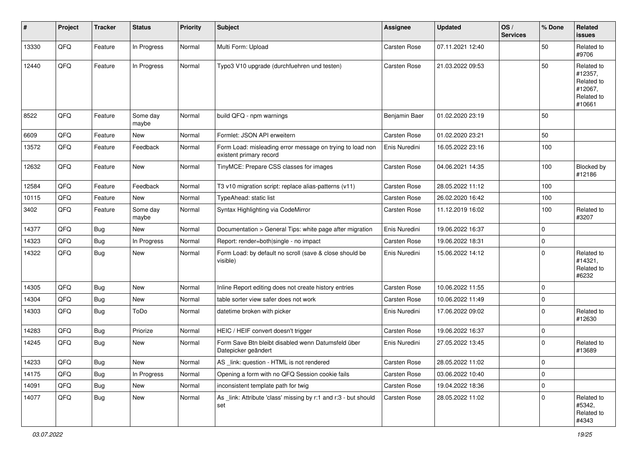| #     | Project | <b>Tracker</b> | <b>Status</b>     | <b>Priority</b> | <b>Subject</b>                                                                       | <b>Assignee</b> | <b>Updated</b>   | OS/<br><b>Services</b> | % Done      | Related<br><b>issues</b>                                               |
|-------|---------|----------------|-------------------|-----------------|--------------------------------------------------------------------------------------|-----------------|------------------|------------------------|-------------|------------------------------------------------------------------------|
| 13330 | QFQ     | Feature        | In Progress       | Normal          | Multi Form: Upload                                                                   | Carsten Rose    | 07.11.2021 12:40 |                        | 50          | Related to<br>#9706                                                    |
| 12440 | QFQ     | Feature        | In Progress       | Normal          | Typo3 V10 upgrade (durchfuehren und testen)                                          | Carsten Rose    | 21.03.2022 09:53 |                        | 50          | Related to<br>#12357,<br>Related to<br>#12067,<br>Related to<br>#10661 |
| 8522  | QFQ     | Feature        | Some day<br>maybe | Normal          | build QFQ - npm warnings                                                             | Benjamin Baer   | 01.02.2020 23:19 |                        | 50          |                                                                        |
| 6609  | QFQ     | Feature        | <b>New</b>        | Normal          | Formlet: JSON API erweitern                                                          | Carsten Rose    | 01.02.2020 23:21 |                        | 50          |                                                                        |
| 13572 | QFQ     | Feature        | Feedback          | Normal          | Form Load: misleading error message on trying to load non<br>existent primary record | Enis Nuredini   | 16.05.2022 23:16 |                        | 100         |                                                                        |
| 12632 | QFQ     | Feature        | New               | Normal          | TinyMCE: Prepare CSS classes for images                                              | Carsten Rose    | 04.06.2021 14:35 |                        | 100         | Blocked by<br>#12186                                                   |
| 12584 | QFQ     | Feature        | Feedback          | Normal          | T3 v10 migration script: replace alias-patterns (v11)                                | Carsten Rose    | 28.05.2022 11:12 |                        | 100         |                                                                        |
| 10115 | QFQ     | Feature        | New               | Normal          | TypeAhead: static list                                                               | Carsten Rose    | 26.02.2020 16:42 |                        | 100         |                                                                        |
| 3402  | QFQ     | Feature        | Some day<br>maybe | Normal          | Syntax Highlighting via CodeMirror                                                   | Carsten Rose    | 11.12.2019 16:02 |                        | 100         | Related to<br>#3207                                                    |
| 14377 | QFQ     | <b>Bug</b>     | <b>New</b>        | Normal          | Documentation > General Tips: white page after migration                             | Enis Nuredini   | 19.06.2022 16:37 |                        | $\mathbf 0$ |                                                                        |
| 14323 | QFQ     | Bug            | In Progress       | Normal          | Report: render=both single - no impact                                               | Carsten Rose    | 19.06.2022 18:31 |                        | $\mathbf 0$ |                                                                        |
| 14322 | QFQ     | Bug            | New               | Normal          | Form Load: by default no scroll (save & close should be<br>visible)                  | Enis Nuredini   | 15.06.2022 14:12 |                        | $\mathbf 0$ | Related to<br>#14321,<br>Related to<br>#6232                           |
| 14305 | QFQ     | Bug            | New               | Normal          | Inline Report editing does not create history entries                                | Carsten Rose    | 10.06.2022 11:55 |                        | $\mathbf 0$ |                                                                        |
| 14304 | QFQ     | <b>Bug</b>     | New               | Normal          | table sorter view safer does not work                                                | Carsten Rose    | 10.06.2022 11:49 |                        | $\pmb{0}$   |                                                                        |
| 14303 | QFQ     | Bug            | ToDo              | Normal          | datetime broken with picker                                                          | Enis Nuredini   | 17.06.2022 09:02 |                        | $\mathbf 0$ | Related to<br>#12630                                                   |
| 14283 | QFQ     | Bug            | Priorize          | Normal          | HEIC / HEIF convert doesn't trigger                                                  | Carsten Rose    | 19.06.2022 16:37 |                        | $\mathbf 0$ |                                                                        |
| 14245 | QFQ     | <b>Bug</b>     | <b>New</b>        | Normal          | Form Save Btn bleibt disabled wenn Datumsfeld über<br>Datepicker geändert            | Enis Nuredini   | 27.05.2022 13:45 |                        | $\mathbf 0$ | Related to<br>#13689                                                   |
| 14233 | QFQ     | <b>Bug</b>     | New               | Normal          | AS _link: question - HTML is not rendered                                            | Carsten Rose    | 28.05.2022 11:02 |                        | $\pmb{0}$   |                                                                        |
| 14175 | QFQ     | Bug            | In Progress       | Normal          | Opening a form with no QFQ Session cookie fails                                      | Carsten Rose    | 03.06.2022 10:40 |                        | $\mathbf 0$ |                                                                        |
| 14091 | QFQ     | Bug            | New               | Normal          | inconsistent template path for twig                                                  | Carsten Rose    | 19.04.2022 18:36 |                        | 0           |                                                                        |
| 14077 | QFQ     | Bug            | New               | Normal          | As _link: Attribute 'class' missing by r:1 and r:3 - but should<br>set               | Carsten Rose    | 28.05.2022 11:02 |                        | $\mathbf 0$ | Related to<br>#5342,<br>Related to<br>#4343                            |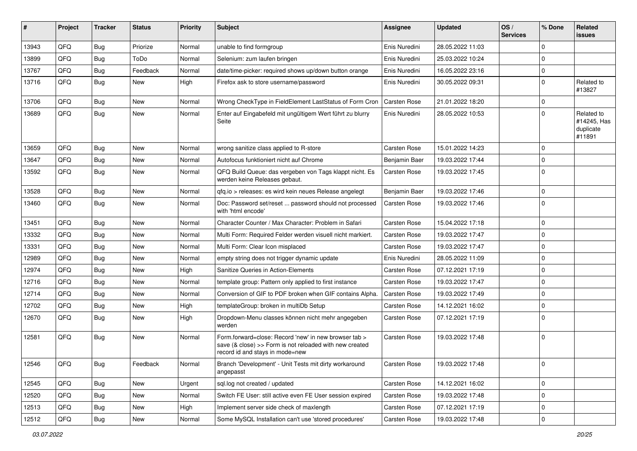| #     | Project | <b>Tracker</b> | <b>Status</b> | <b>Priority</b> | Subject                                                                                                                                             | Assignee            | <b>Updated</b>   | OS/<br><b>Services</b> | % Done      | Related<br>issues                                |
|-------|---------|----------------|---------------|-----------------|-----------------------------------------------------------------------------------------------------------------------------------------------------|---------------------|------------------|------------------------|-------------|--------------------------------------------------|
| 13943 | QFQ     | Bug            | Priorize      | Normal          | unable to find formgroup                                                                                                                            | Enis Nuredini       | 28.05.2022 11:03 |                        | $\Omega$    |                                                  |
| 13899 | QFQ     | <b>Bug</b>     | ToDo          | Normal          | Selenium: zum laufen bringen                                                                                                                        | Enis Nuredini       | 25.03.2022 10:24 |                        | $\Omega$    |                                                  |
| 13767 | QFQ     | <b>Bug</b>     | Feedback      | Normal          | date/time-picker: required shows up/down button orange                                                                                              | Enis Nuredini       | 16.05.2022 23:16 |                        | $\Omega$    |                                                  |
| 13716 | QFQ     | <b>Bug</b>     | New           | High            | Firefox ask to store username/password                                                                                                              | Enis Nuredini       | 30.05.2022 09:31 |                        | $\Omega$    | Related to<br>#13827                             |
| 13706 | QFQ     | <b>Bug</b>     | <b>New</b>    | Normal          | Wrong CheckType in FieldElement LastStatus of Form Cron                                                                                             | <b>Carsten Rose</b> | 21.01.2022 18:20 |                        | $\Omega$    |                                                  |
| 13689 | QFQ     | <b>Bug</b>     | New           | Normal          | Enter auf Eingabefeld mit ungültigem Wert führt zu blurry<br>Seite                                                                                  | Enis Nuredini       | 28.05.2022 10:53 |                        | $\Omega$    | Related to<br>#14245, Has<br>duplicate<br>#11891 |
| 13659 | QFQ     | <b>Bug</b>     | <b>New</b>    | Normal          | wrong sanitize class applied to R-store                                                                                                             | Carsten Rose        | 15.01.2022 14:23 |                        | $\Omega$    |                                                  |
| 13647 | QFQ     | <b>Bug</b>     | New           | Normal          | Autofocus funktioniert nicht auf Chrome                                                                                                             | Benjamin Baer       | 19.03.2022 17:44 |                        | $\Omega$    |                                                  |
| 13592 | QFQ.    | Bug            | New           | Normal          | QFQ Build Queue: das vergeben von Tags klappt nicht. Es<br>werden keine Releases gebaut.                                                            | <b>Carsten Rose</b> | 19.03.2022 17:45 |                        | $\Omega$    |                                                  |
| 13528 | QFQ     | <b>Bug</b>     | <b>New</b>    | Normal          | qfq.io > releases: es wird kein neues Release angelegt                                                                                              | Benjamin Baer       | 19.03.2022 17:46 |                        | $\Omega$    |                                                  |
| 13460 | QFQ     | <b>Bug</b>     | New           | Normal          | Doc: Password set/reset  password should not processed<br>with 'html encode'                                                                        | Carsten Rose        | 19.03.2022 17:46 |                        | $\Omega$    |                                                  |
| 13451 | QFQ     | <b>Bug</b>     | New           | Normal          | Character Counter / Max Character: Problem in Safari                                                                                                | Carsten Rose        | 15.04.2022 17:18 |                        | $\Omega$    |                                                  |
| 13332 | QFQ     | <b>Bug</b>     | New           | Normal          | Multi Form: Required Felder werden visuell nicht markiert.                                                                                          | <b>Carsten Rose</b> | 19.03.2022 17:47 |                        | $\Omega$    |                                                  |
| 13331 | QFQ     | Bug            | New           | Normal          | Multi Form: Clear Icon misplaced                                                                                                                    | <b>Carsten Rose</b> | 19.03.2022 17:47 |                        | $\Omega$    |                                                  |
| 12989 | QFQ     | <b>Bug</b>     | New           | Normal          | empty string does not trigger dynamic update                                                                                                        | Enis Nuredini       | 28.05.2022 11:09 |                        | $\Omega$    |                                                  |
| 12974 | QFQ     | <b>Bug</b>     | New           | High            | Sanitize Queries in Action-Elements                                                                                                                 | <b>Carsten Rose</b> | 07.12.2021 17:19 |                        | $\Omega$    |                                                  |
| 12716 | QFQ     | <b>Bug</b>     | <b>New</b>    | Normal          | template group: Pattern only applied to first instance                                                                                              | <b>Carsten Rose</b> | 19.03.2022 17:47 |                        | $\Omega$    |                                                  |
| 12714 | QFQ     | <b>Bug</b>     | New           | Normal          | Conversion of GIF to PDF broken when GIF contains Alpha.                                                                                            | <b>Carsten Rose</b> | 19.03.2022 17:49 |                        | $\Omega$    |                                                  |
| 12702 | QFQ     | <b>Bug</b>     | <b>New</b>    | High            | templateGroup: broken in multiDb Setup                                                                                                              | <b>Carsten Rose</b> | 14.12.2021 16:02 |                        | $\Omega$    |                                                  |
| 12670 | QFQ     | Bug            | New           | High            | Dropdown-Menu classes können nicht mehr angegeben<br>werden                                                                                         | <b>Carsten Rose</b> | 07.12.2021 17:19 |                        | $\Omega$    |                                                  |
| 12581 | QFQ     | Bug            | New           | Normal          | Form.forward=close: Record 'new' in new browser tab ><br>save (& close) >> Form is not reloaded with new created<br>record id and stays in mode=new | <b>Carsten Rose</b> | 19.03.2022 17:48 |                        | $\mathbf 0$ |                                                  |
| 12546 | QFQ     | Bug            | Feedback      | Normal          | Branch 'Development' - Unit Tests mit dirty workaround<br>angepasst                                                                                 | Carsten Rose        | 19.03.2022 17:48 |                        | 0           |                                                  |
| 12545 | QFQ     | Bug            | New           | Urgent          | sql.log not created / updated                                                                                                                       | Carsten Rose        | 14.12.2021 16:02 |                        | 0           |                                                  |
| 12520 | QFQ     | <b>Bug</b>     | New           | Normal          | Switch FE User: still active even FE User session expired                                                                                           | Carsten Rose        | 19.03.2022 17:48 |                        | 0           |                                                  |
| 12513 | QFQ     | <b>Bug</b>     | New           | High            | Implement server side check of maxlength                                                                                                            | Carsten Rose        | 07.12.2021 17:19 |                        | 0           |                                                  |
| 12512 | QFQ     | Bug            | New           | Normal          | Some MySQL Installation can't use 'stored procedures'                                                                                               | Carsten Rose        | 19.03.2022 17:48 |                        | $\pmb{0}$   |                                                  |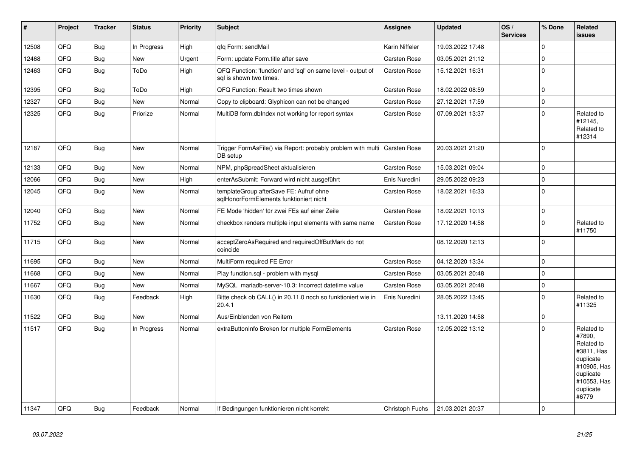| #     | Project | <b>Tracker</b> | <b>Status</b> | <b>Priority</b> | <b>Subject</b>                                                                          | Assignee            | <b>Updated</b>   | OS/<br><b>Services</b> | % Done      | Related<br><b>issues</b>                                                                                                       |
|-------|---------|----------------|---------------|-----------------|-----------------------------------------------------------------------------------------|---------------------|------------------|------------------------|-------------|--------------------------------------------------------------------------------------------------------------------------------|
| 12508 | QFQ     | Bug            | In Progress   | High            | qfq Form: sendMail                                                                      | Karin Niffeler      | 19.03.2022 17:48 |                        | $\Omega$    |                                                                                                                                |
| 12468 | QFQ     | Bug            | New           | Urgent          | Form: update Form.title after save                                                      | <b>Carsten Rose</b> | 03.05.2021 21:12 |                        | $\pmb{0}$   |                                                                                                                                |
| 12463 | QFQ     | Bug            | ToDo          | High            | QFQ Function: 'function' and 'sql' on same level - output of<br>sql is shown two times. | Carsten Rose        | 15.12.2021 16:31 |                        | $\pmb{0}$   |                                                                                                                                |
| 12395 | QFQ     | <b>Bug</b>     | ToDo          | High            | QFQ Function: Result two times shown                                                    | <b>Carsten Rose</b> | 18.02.2022 08:59 |                        | $\mathbf 0$ |                                                                                                                                |
| 12327 | QFQ     | Bug            | New           | Normal          | Copy to clipboard: Glyphicon can not be changed                                         | Carsten Rose        | 27.12.2021 17:59 |                        | $\pmb{0}$   |                                                                                                                                |
| 12325 | QFQ     | <b>Bug</b>     | Priorize      | Normal          | MultiDB form.dblndex not working for report syntax                                      | Carsten Rose        | 07.09.2021 13:37 |                        | $\mathbf 0$ | Related to<br>#12145,<br>Related to<br>#12314                                                                                  |
| 12187 | QFQ     | <b>Bug</b>     | New           | Normal          | Trigger FormAsFile() via Report: probably problem with multi<br>DB setup                | <b>Carsten Rose</b> | 20.03.2021 21:20 |                        | $\mathbf 0$ |                                                                                                                                |
| 12133 | QFQ     | Bug            | <b>New</b>    | Normal          | NPM, phpSpreadSheet aktualisieren                                                       | <b>Carsten Rose</b> | 15.03.2021 09:04 |                        | $\mathbf 0$ |                                                                                                                                |
| 12066 | QFQ     | <b>Bug</b>     | <b>New</b>    | High            | enterAsSubmit: Forward wird nicht ausgeführt                                            | Enis Nuredini       | 29.05.2022 09:23 |                        | $\pmb{0}$   |                                                                                                                                |
| 12045 | QFQ     | <b>Bug</b>     | <b>New</b>    | Normal          | templateGroup afterSave FE: Aufruf ohne<br>sglHonorFormElements funktioniert nicht      | <b>Carsten Rose</b> | 18.02.2021 16:33 |                        | $\pmb{0}$   |                                                                                                                                |
| 12040 | QFQ     | <b>Bug</b>     | <b>New</b>    | Normal          | FE Mode 'hidden' für zwei FEs auf einer Zeile                                           | Carsten Rose        | 18.02.2021 10:13 |                        | $\pmb{0}$   |                                                                                                                                |
| 11752 | QFQ     | <b>Bug</b>     | New           | Normal          | checkbox renders multiple input elements with same name                                 | Carsten Rose        | 17.12.2020 14:58 |                        | $\mathbf 0$ | Related to<br>#11750                                                                                                           |
| 11715 | QFQ     | Bug            | New           | Normal          | acceptZeroAsRequired and requiredOffButMark do not<br>coincide                          |                     | 08.12.2020 12:13 |                        | $\mathbf 0$ |                                                                                                                                |
| 11695 | QFQ     | Bug            | <b>New</b>    | Normal          | MultiForm required FE Error                                                             | <b>Carsten Rose</b> | 04.12.2020 13:34 |                        | $\pmb{0}$   |                                                                                                                                |
| 11668 | QFQ     | <b>Bug</b>     | New           | Normal          | Play function.sql - problem with mysql                                                  | Carsten Rose        | 03.05.2021 20:48 |                        | $\pmb{0}$   |                                                                                                                                |
| 11667 | QFQ     | <b>Bug</b>     | <b>New</b>    | Normal          | MySQL mariadb-server-10.3: Incorrect datetime value                                     | Carsten Rose        | 03.05.2021 20:48 |                        | $\mathbf 0$ |                                                                                                                                |
| 11630 | QFQ     | Bug            | Feedback      | High            | Bitte check ob CALL() in 20.11.0 noch so funktioniert wie in<br>20.4.1                  | Enis Nuredini       | 28.05.2022 13:45 |                        | $\mathbf 0$ | Related to<br>#11325                                                                                                           |
| 11522 | QFQ     | <b>Bug</b>     | <b>New</b>    | Normal          | Aus/Einblenden von Reitern                                                              |                     | 13.11.2020 14:58 |                        | $\pmb{0}$   |                                                                                                                                |
| 11517 | QFQ     | Bug            | In Progress   | Normal          | extraButtonInfo Broken for multiple FormElements                                        | <b>Carsten Rose</b> | 12.05.2022 13:12 |                        | $\Omega$    | Related to<br>#7890,<br>Related to<br>#3811, Has<br>duplicate<br>#10905, Has<br>duplicate<br>#10553, Has<br>duplicate<br>#6779 |
| 11347 | QFQ     | Bug            | Feedback      | Normal          | If Bedingungen funktionieren nicht korrekt                                              | Christoph Fuchs     | 21.03.2021 20:37 |                        | $\mathbf 0$ |                                                                                                                                |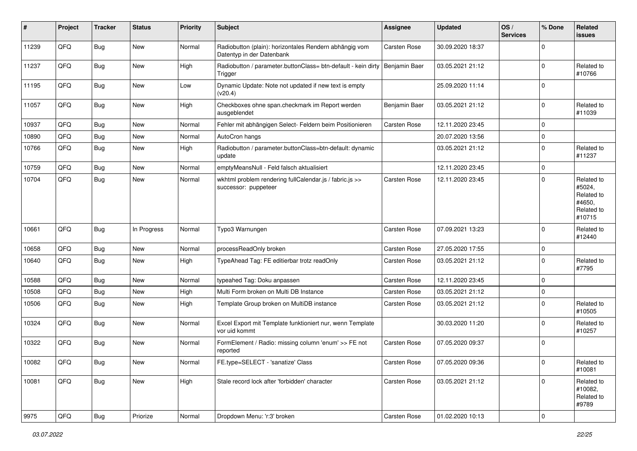| #     | Project | <b>Tracker</b> | <b>Status</b> | <b>Priority</b> | <b>Subject</b>                                                                           | <b>Assignee</b> | <b>Updated</b>   | OS/<br><b>Services</b> | % Done      | <b>Related</b><br><b>issues</b>                                      |
|-------|---------|----------------|---------------|-----------------|------------------------------------------------------------------------------------------|-----------------|------------------|------------------------|-------------|----------------------------------------------------------------------|
| 11239 | QFQ     | Bug            | New           | Normal          | Radiobutton (plain): horizontales Rendern abhängig vom<br>Datentyp in der Datenbank      | Carsten Rose    | 30.09.2020 18:37 |                        | $\Omega$    |                                                                      |
| 11237 | QFQ     | <b>Bug</b>     | New           | High            | Radiobutton / parameter.buttonClass= btn-default - kein dirty   Benjamin Baer<br>Trigger |                 | 03.05.2021 21:12 |                        | $\mathbf 0$ | Related to<br>#10766                                                 |
| 11195 | QFQ     | Bug            | New           | Low             | Dynamic Update: Note not updated if new text is empty<br>(v20.4)                         |                 | 25.09.2020 11:14 |                        | $\mathbf 0$ |                                                                      |
| 11057 | QFQ     | Bug            | New           | High            | Checkboxes ohne span.checkmark im Report werden<br>ausgeblendet                          | Benjamin Baer   | 03.05.2021 21:12 |                        | 0           | Related to<br>#11039                                                 |
| 10937 | QFQ     | Bug            | <b>New</b>    | Normal          | Fehler mit abhängigen Select- Feldern beim Positionieren                                 | Carsten Rose    | 12.11.2020 23:45 |                        | 0           |                                                                      |
| 10890 | QFQ     | Bug            | <b>New</b>    | Normal          | AutoCron hangs                                                                           |                 | 20.07.2020 13:56 |                        | $\mathbf 0$ |                                                                      |
| 10766 | QFQ     | Bug            | <b>New</b>    | High            | Radiobutton / parameter.buttonClass=btn-default: dynamic<br>update                       |                 | 03.05.2021 21:12 |                        | 0           | Related to<br>#11237                                                 |
| 10759 | QFQ     | Bug            | <b>New</b>    | Normal          | emptyMeansNull - Feld falsch aktualisiert                                                |                 | 12.11.2020 23:45 |                        | 0           |                                                                      |
| 10704 | QFQ     | Bug            | <b>New</b>    | Normal          | wkhtml problem rendering fullCalendar.js / fabric.js >><br>successor: puppeteer          | Carsten Rose    | 12.11.2020 23:45 |                        | $\mathbf 0$ | Related to<br>#5024,<br>Related to<br>#4650,<br>Related to<br>#10715 |
| 10661 | QFQ     | Bug            | In Progress   | Normal          | Typo3 Warnungen                                                                          | Carsten Rose    | 07.09.2021 13:23 |                        | $\Omega$    | Related to<br>#12440                                                 |
| 10658 | QFQ     | Bug            | <b>New</b>    | Normal          | processReadOnly broken                                                                   | Carsten Rose    | 27.05.2020 17:55 |                        | 0           |                                                                      |
| 10640 | QFQ     | Bug            | <b>New</b>    | High            | TypeAhead Tag: FE editierbar trotz readOnly                                              | Carsten Rose    | 03.05.2021 21:12 |                        | $\mathbf 0$ | Related to<br>#7795                                                  |
| 10588 | QFQ     | <b>Bug</b>     | <b>New</b>    | Normal          | typeahed Tag: Doku anpassen                                                              | Carsten Rose    | 12.11.2020 23:45 |                        | $\Omega$    |                                                                      |
| 10508 | QFQ     | <b>Bug</b>     | <b>New</b>    | High            | Multi Form broken on Multi DB Instance                                                   | Carsten Rose    | 03.05.2021 21:12 |                        | $\mathbf 0$ |                                                                      |
| 10506 | QFQ     | Bug            | <b>New</b>    | High            | Template Group broken on MultiDB instance                                                | Carsten Rose    | 03.05.2021 21:12 |                        | 0           | Related to<br>#10505                                                 |
| 10324 | QFQ     | <b>Bug</b>     | New           | Normal          | Excel Export mit Template funktioniert nur, wenn Template<br>vor uid kommt               |                 | 30.03.2020 11:20 |                        | 0           | Related to<br>#10257                                                 |
| 10322 | QFQ     | Bug            | <b>New</b>    | Normal          | FormElement / Radio: missing column 'enum' >> FE not<br>reported                         | Carsten Rose    | 07.05.2020 09:37 |                        | 0           |                                                                      |
| 10082 | QFQ     | Bug            | I New         | Normal          | FE.type=SELECT - 'sanatize' Class                                                        | Carsten Rose    | 07.05.2020 09:36 |                        | O           | Related to<br>#10081                                                 |
| 10081 | QFQ     | Bug            | New           | High            | Stale record lock after 'forbidden' character                                            | Carsten Rose    | 03.05.2021 21:12 |                        | 0           | Related to<br>#10082,<br>Related to<br>#9789                         |
| 9975  | QFQ     | <b>Bug</b>     | Priorize      | Normal          | Dropdown Menu: 'r:3' broken                                                              | Carsten Rose    | 01.02.2020 10:13 |                        | $\mathbf 0$ |                                                                      |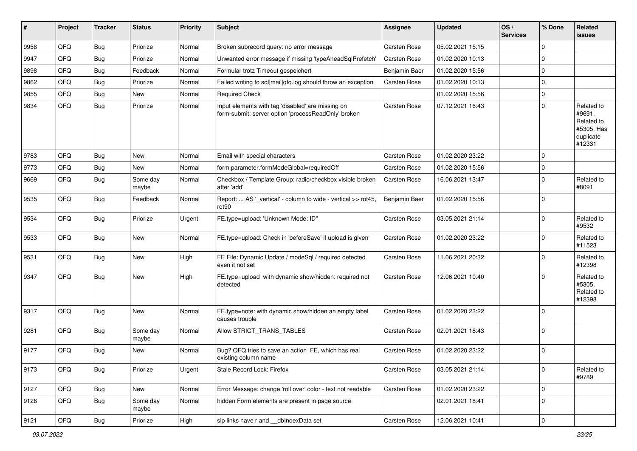| #    | Project | <b>Tracker</b> | <b>Status</b>     | <b>Priority</b> | <b>Subject</b>                                                                                           | <b>Assignee</b>     | <b>Updated</b>   | OS/<br><b>Services</b> | % Done      | Related<br>issues                                                       |
|------|---------|----------------|-------------------|-----------------|----------------------------------------------------------------------------------------------------------|---------------------|------------------|------------------------|-------------|-------------------------------------------------------------------------|
| 9958 | QFQ     | Bug            | Priorize          | Normal          | Broken subrecord query: no error message                                                                 | <b>Carsten Rose</b> | 05.02.2021 15:15 |                        | 0           |                                                                         |
| 9947 | QFQ     | Bug            | Priorize          | Normal          | Unwanted error message if missing 'typeAheadSqlPrefetch'                                                 | Carsten Rose        | 01.02.2020 10:13 |                        | 0           |                                                                         |
| 9898 | QFQ     | <b>Bug</b>     | Feedback          | Normal          | Formular trotz Timeout gespeichert                                                                       | Benjamin Baer       | 01.02.2020 15:56 |                        | 0           |                                                                         |
| 9862 | QFQ     | Bug            | Priorize          | Normal          | Failed writing to sql mail qfq.log should throw an exception                                             | Carsten Rose        | 01.02.2020 10:13 |                        | 0           |                                                                         |
| 9855 | QFQ     | Bug            | New               | Normal          | <b>Required Check</b>                                                                                    |                     | 01.02.2020 15:56 |                        | 0           |                                                                         |
| 9834 | QFQ     | <b>Bug</b>     | Priorize          | Normal          | Input elements with tag 'disabled' are missing on<br>form-submit: server option 'processReadOnly' broken | Carsten Rose        | 07.12.2021 16:43 |                        | 0           | Related to<br>#9691,<br>Related to<br>#5305, Has<br>duplicate<br>#12331 |
| 9783 | QFQ     | Bug            | <b>New</b>        | Normal          | Email with special characters                                                                            | Carsten Rose        | 01.02.2020 23:22 |                        | 0           |                                                                         |
| 9773 | QFQ     | Bug            | New               | Normal          | form.parameter.formModeGlobal=requiredOff                                                                | Carsten Rose        | 01.02.2020 15:56 |                        | 0           |                                                                         |
| 9669 | QFQ     | <b>Bug</b>     | Some day<br>maybe | Normal          | Checkbox / Template Group: radio/checkbox visible broken<br>after 'add'                                  | Carsten Rose        | 16.06.2021 13:47 |                        | 0           | Related to<br>#8091                                                     |
| 9535 | QFQ     | Bug            | Feedback          | Normal          | Report:  AS '_vertical' - column to wide - vertical >> rot45,<br>rot90                                   | Benjamin Baer       | 01.02.2020 15:56 |                        | 0           |                                                                         |
| 9534 | QFQ     | Bug            | Priorize          | Urgent          | FE.type=upload: 'Unknown Mode: ID"                                                                       | Carsten Rose        | 03.05.2021 21:14 |                        | $\mathbf 0$ | Related to<br>#9532                                                     |
| 9533 | QFQ     | Bug            | New               | Normal          | FE.type=upload: Check in 'beforeSave' if upload is given                                                 | Carsten Rose        | 01.02.2020 23:22 |                        | $\mathbf 0$ | Related to<br>#11523                                                    |
| 9531 | QFQ     | Bug            | <b>New</b>        | High            | FE File: Dynamic Update / modeSql / required detected<br>even it not set                                 | Carsten Rose        | 11.06.2021 20:32 |                        | $\Omega$    | Related to<br>#12398                                                    |
| 9347 | QFQ     | Bug            | New               | High            | FE.type=upload with dynamic show/hidden: required not<br>detected                                        | Carsten Rose        | 12.06.2021 10:40 |                        | $\mathbf 0$ | Related to<br>#5305,<br>Related to<br>#12398                            |
| 9317 | QFQ     | Bug            | <b>New</b>        | Normal          | FE.type=note: with dynamic show/hidden an empty label<br>causes trouble                                  | Carsten Rose        | 01.02.2020 23:22 |                        | $\mathbf 0$ |                                                                         |
| 9281 | QFQ     | <b>Bug</b>     | Some day<br>maybe | Normal          | Allow STRICT_TRANS_TABLES                                                                                | Carsten Rose        | 02.01.2021 18:43 |                        | 0           |                                                                         |
| 9177 | QFQ     | Bug            | New               | Normal          | Bug? QFQ tries to save an action FE, which has real<br>existing column name                              | Carsten Rose        | 01.02.2020 23:22 |                        | 0           |                                                                         |
| 9173 | QFQ     | Bug            | Priorize          | Urgent          | Stale Record Lock: Firefox                                                                               | Carsten Rose        | 03.05.2021 21:14 |                        | 0           | Related to<br>#9789                                                     |
| 9127 | QFQ     | Bug            | New               | Normal          | Error Message: change 'roll over' color - text not readable                                              | Carsten Rose        | 01.02.2020 23:22 |                        | $\mathbf 0$ |                                                                         |
| 9126 | QFQ     | Bug            | Some day<br>maybe | Normal          | hidden Form elements are present in page source                                                          |                     | 02.01.2021 18:41 |                        | $\mathbf 0$ |                                                                         |
| 9121 | QFQ     | <b>Bug</b>     | Priorize          | High            | sip links have r and __dbIndexData set                                                                   | Carsten Rose        | 12.06.2021 10:41 |                        | $\pmb{0}$   |                                                                         |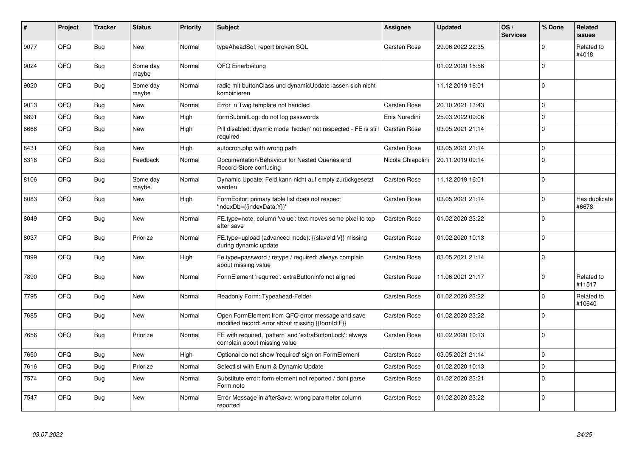| ∦    | Project | <b>Tracker</b> | <b>Status</b>     | <b>Priority</b> | <b>Subject</b>                                                                                        | <b>Assignee</b>     | <b>Updated</b>   | OS/<br><b>Services</b> | % Done      | Related<br><b>issues</b> |
|------|---------|----------------|-------------------|-----------------|-------------------------------------------------------------------------------------------------------|---------------------|------------------|------------------------|-------------|--------------------------|
| 9077 | QFQ     | <b>Bug</b>     | <b>New</b>        | Normal          | typeAheadSql: report broken SQL                                                                       | <b>Carsten Rose</b> | 29.06.2022 22:35 |                        | $\Omega$    | Related to<br>#4018      |
| 9024 | QFQ     | <b>Bug</b>     | Some day<br>maybe | Normal          | QFQ Einarbeitung                                                                                      |                     | 01.02.2020 15:56 |                        | $\Omega$    |                          |
| 9020 | QFQ     | Bug            | Some dav<br>maybe | Normal          | radio mit buttonClass und dynamicUpdate lassen sich nicht<br>kombinieren                              |                     | 11.12.2019 16:01 |                        | $\Omega$    |                          |
| 9013 | QFQ     | Bug            | <b>New</b>        | Normal          | Error in Twig template not handled                                                                    | Carsten Rose        | 20.10.2021 13:43 |                        | $\Omega$    |                          |
| 8891 | QFQ     | <b>Bug</b>     | <b>New</b>        | High            | formSubmitLog: do not log passwords                                                                   | Enis Nuredini       | 25.03.2022 09:06 |                        | $\mathbf 0$ |                          |
| 8668 | QFQ     | Bug            | <b>New</b>        | High            | Pill disabled: dyamic mode 'hidden' not respected - FE is still<br>required                           | Carsten Rose        | 03.05.2021 21:14 |                        | $\Omega$    |                          |
| 8431 | QFQ     | <b>Bug</b>     | New               | High            | autocron.php with wrong path                                                                          | <b>Carsten Rose</b> | 03.05.2021 21:14 |                        | $\mathbf 0$ |                          |
| 8316 | QFQ     | <b>Bug</b>     | Feedback          | Normal          | Documentation/Behaviour for Nested Queries and<br>Record-Store confusing                              | Nicola Chiapolini   | 20.11.2019 09:14 |                        | $\Omega$    |                          |
| 8106 | QFQ     | <b>Bug</b>     | Some dav<br>maybe | Normal          | Dynamic Update: Feld kann nicht auf empty zurückgesetzt<br>werden                                     | Carsten Rose        | 11.12.2019 16:01 |                        | $\Omega$    |                          |
| 8083 | QFQ     | Bug            | <b>New</b>        | High            | FormEditor: primary table list does not respect<br>'indexDb={{indexData:Y}}'                          | Carsten Rose        | 03.05.2021 21:14 |                        | $\Omega$    | Has duplicate<br>#6678   |
| 8049 | QFQ     | Bug            | New               | Normal          | FE.type=note, column 'value': text moves some pixel to top<br>after save                              | <b>Carsten Rose</b> | 01.02.2020 23:22 |                        | $\Omega$    |                          |
| 8037 | QFQ     | Bug            | Priorize          | Normal          | FE.type=upload (advanced mode): {{slaveld:V}} missing<br>during dynamic update                        | <b>Carsten Rose</b> | 01.02.2020 10:13 |                        | $\mathbf 0$ |                          |
| 7899 | QFQ     | Bug            | New               | High            | Fe.type=password / retype / required: always complain<br>about missing value                          | Carsten Rose        | 03.05.2021 21:14 |                        | $\Omega$    |                          |
| 7890 | QFQ     | Bug            | New               | Normal          | FormElement 'required': extraButtonInfo not aligned                                                   | Carsten Rose        | 11.06.2021 21:17 |                        | $\Omega$    | Related to<br>#11517     |
| 7795 | QFQ     | <b>Bug</b>     | <b>New</b>        | Normal          | Readonly Form: Typeahead-Felder                                                                       | <b>Carsten Rose</b> | 01.02.2020 23:22 |                        | $\Omega$    | Related to<br>#10640     |
| 7685 | QFQ     | <b>Bug</b>     | New               | Normal          | Open FormElement from QFQ error message and save<br>modified record: error about missing {{formId:F}} | Carsten Rose        | 01.02.2020 23:22 |                        | $\Omega$    |                          |
| 7656 | QFQ     | <b>Bug</b>     | Priorize          | Normal          | FE with required, 'pattern' and 'extraButtonLock': always<br>complain about missing value             | Carsten Rose        | 01.02.2020 10:13 |                        | $\Omega$    |                          |
| 7650 | QFQ     | <b>Bug</b>     | <b>New</b>        | High            | Optional do not show 'required' sign on FormElement                                                   | <b>Carsten Rose</b> | 03.05.2021 21:14 |                        | $\mathbf 0$ |                          |
| 7616 | QFQ     | <b>Bug</b>     | Priorize          | Normal          | Selectlist with Enum & Dynamic Update                                                                 | <b>Carsten Rose</b> | 01.02.2020 10:13 |                        | $\Omega$    |                          |
| 7574 | QFQ     | Bug            | New               | Normal          | Substitute error: form element not reported / dont parse<br>Form.note                                 | Carsten Rose        | 01.02.2020 23:21 |                        | $\Omega$    |                          |
| 7547 | QFQ     | Bug            | <b>New</b>        | Normal          | Error Message in afterSave: wrong parameter column<br>reported                                        | Carsten Rose        | 01.02.2020 23:22 |                        | $\Omega$    |                          |